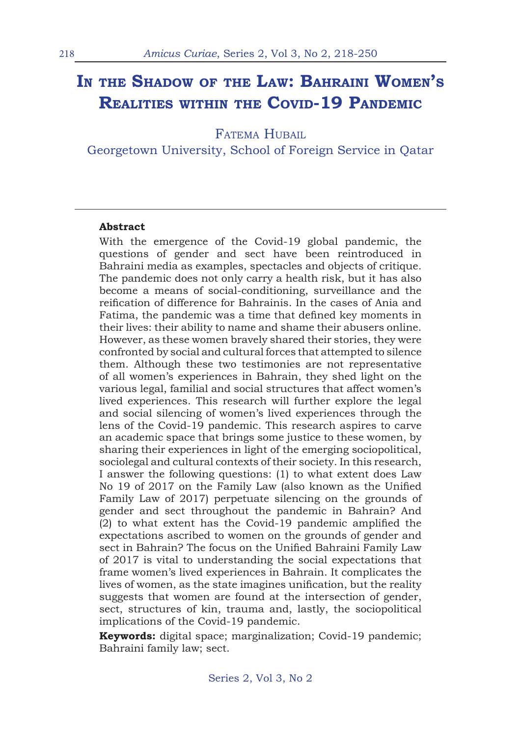# **In the Shadow of the Law: Bahraini Women's Realities within the Covid-19 Pandemic**

FATEMA HUBAIL

Georgetown University, School of Foreign Service in Qatar

#### **Abstract**

With the emergence of the Covid-19 global pandemic, the questions of gender and sect have been reintroduced in Bahraini media as examples, spectacles and objects of critique. The pandemic does not only carry a health risk, but it has also become a means of social-conditioning, surveillance and the reification of difference for Bahrainis. In the cases of Ania and Fatima, the pandemic was a time that defined key moments in their lives: their ability to name and shame their abusers online. However, as these women bravely shared their stories, they were confronted by social and cultural forces that attempted to silence them. Although these two testimonies are not representative of all women's experiences in Bahrain, they shed light on the various legal, familial and social structures that affect women's lived experiences. This research will further explore the legal and social silencing of women's lived experiences through the lens of the Covid-19 pandemic. This research aspires to carve an academic space that brings some justice to these women, by sharing their experiences in light of the emerging sociopolitical, sociolegal and cultural contexts of their society. In this research, I answer the following questions: (1) to what extent does Law No 19 of 2017 on the Family Law (also known as the Unified Family Law of 2017) perpetuate silencing on the grounds of gender and sect throughout the pandemic in Bahrain? And (2) to what extent has the Covid-19 pandemic amplified the expectations ascribed to women on the grounds of gender and sect in Bahrain? The focus on the Unified Bahraini Family Law of 2017 is vital to understanding the social expectations that frame women's lived experiences in Bahrain. It complicates the lives of women, as the state imagines unification, but the reality suggests that women are found at the intersection of gender, sect, structures of kin, trauma and, lastly, the sociopolitical implications of the Covid-19 pandemic.

**Keywords:** digital space; marginalization; Covid-19 pandemic; Bahraini family law; sect.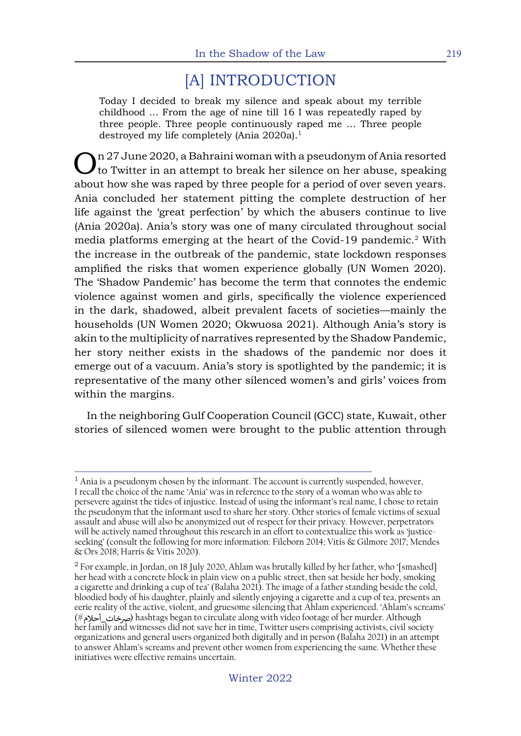# [A] INTRODUCTION

Today I decided to break my silence and speak about my terrible childhood ... From the age of nine till 16 I was repeatedly raped by three people. Three people continuously raped me … Three people destroyed my life completely (Ania 2020a).<sup>1</sup>

 $\sum_{\text{to}}$  n 27 June 2020, a Bahraini woman with a pseudonym of Ania resorted to Twitter in an attempt to break her silence on her abuse, speaking about how she was raped by three people for a period of over seven years. Ania concluded her statement pitting the complete destruction of her life against the 'great perfection' by which the abusers continue to live (Ania 2020a). Ania's story was one of many circulated throughout social media platforms emerging at the heart of the Covid-19 pandemic.<sup>2</sup> With the increase in the outbreak of the pandemic, state lockdown responses amplified the risks that women experience globally (UN Women 2020). The 'Shadow Pandemic' has become the term that connotes the endemic violence against women and girls, specifically the violence experienced in the dark, shadowed, albeit prevalent facets of societies—mainly the households (UN Women 2020; Okwuosa 2021). Although Ania's story is akin to the multiplicity of narratives represented by the Shadow Pandemic, her story neither exists in the shadows of the pandemic nor does it emerge out of a vacuum. Ania's story is spotlighted by the pandemic; it is representative of the many other silenced women's and girls' voices from within the margins.

In the neighboring Gulf Cooperation Council (GCC) state, Kuwait, other stories of silenced women were brought to the public attention through

 $<sup>1</sup>$  Ania is a pseudonym chosen by the informant. The account is currently suspended, however,</sup> I recall the choice of the name 'Ania' was in reference to the story of a woman who was able to persevere against the tides of injustice. Instead of using the informant's real name, I chose to retain the pseudonym that the informant used to share her story. Other stories of female victims of sexual assault and abuse will also be anonymized out of respect for their privacy. However, perpetrators will be actively named throughout this research in an effort to contextualize this work as 'justiceseeking' (consult the following for more information: Fileborn 2014; Vitis & Gilmore 2017; Mendes & Ors 2018; Harris & Vitis 2020).

<sup>&</sup>lt;sup>2</sup> For example, in Jordan, on 18 July 2020, Ahlam was brutally killed by her father, who '[smashed] her head with a concrete block in plain view on a public street, then sat beside her body, smoking a cigarette and drinking a cup of tea' (Balaha 2021). The image of a father standing beside the cold, bloodied body of his daughter, plainly and silently enjoying a cigarette and a cup of tea, presents an eerie reality of the active, violent, and gruesome silencing that Ahlam experienced. 'Ahlam's screams' (#) hashtags began to circulate along with video footage of her murder. Although �خات\_أحلام her family and witnesses did not save her in time, Twitter users comprising activists, civil society organizations and general users organized both digitally and in person (Balaha 2021) in an attempt to answer Ahlam's screams and prevent other women from experiencing the same. Whether these initiatives were effective remains uncertain.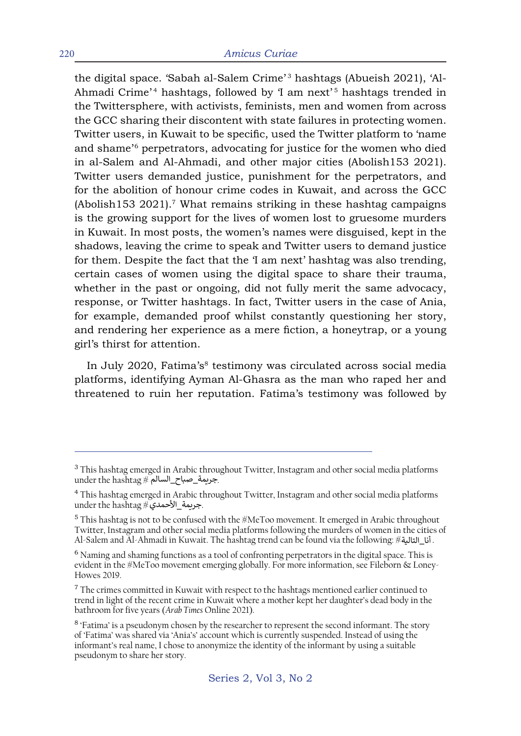the digital space. 'Sabah al-Salem Crime'<sup>3</sup> hashtags (Abueish 2021), 'Al-Ahmadi Crime'<sup>4</sup> hashtags, followed by 'I am next'<sup>5</sup> hashtags trended in the Twittersphere, with activists, feminists, men and women from across the GCC sharing their discontent with state failures in protecting women. Twitter users, in Kuwait to be specific, used the Twitter platform to 'name and shame<sup>'6</sup> perpetrators, advocating for justice for the women who died in al-Salem and Al-Ahmadi, and other major cities (Abolish153 2021). Twitter users demanded justice, punishment for the perpetrators, and for the abolition of honour crime codes in Kuwait, and across the GCC  $(A$ bolish153 2021).<sup>7</sup> What remains striking in these hashtag campaigns is the growing support for the lives of women lost to gruesome murders in Kuwait. In most posts, the women's names were disguised, kept in the shadows, leaving the crime to speak and Twitter users to demand justice for them. Despite the fact that the 'I am next' hashtag was also trending, certain cases of women using the digital space to share their trauma, whether in the past or ongoing, did not fully merit the same advocacy, response, or Twitter hashtags. In fact, Twitter users in the case of Ania, for example, demanded proof whilst constantly questioning her story, and rendering her experience as a mere fiction, a honeytrap, or a young girl's thirst for attention.

In July 2020, Fatima's<sup>8</sup> testimony was circulated across social media platforms, identifying Ayman Al-Ghasra as the man who raped her and threatened to ruin her reputation. Fatima's testimony was followed by

<sup>&</sup>lt;sup>3</sup> This hashtag emerged in Arabic throughout Twitter, Instagram and other social media platforms ً جريمة\_صباح\_السالم ِ# under the hashtag

<sup>4</sup> This hashtag emerged in Arabic throughout Twitter, Instagram and other social media platforms under the hashtag #جريمة\_الأحمدي.

 $5$  This hashtag is not to be confused with the  $M\llap{/}{\sim}$  MeToo movement. It emerged in Arabic throughout Twitter, Instagram and other social media platforms following the murders of women in the cities of . أنا\_التالية $\ast$  ;Al-Salem and Al-Ahmadi in Kuwait. The hashtag trend can be found via the following.

<sup>&</sup>lt;sup>6</sup> Naming and shaming functions as a tool of confronting perpetrators in the digital space. This is evident in the #MeToo movement emerging globally. For more information, see Fileborn & Loney-Howes 2019.

 $7$  The crimes committed in Kuwait with respect to the hashtags mentioned earlier continued to trend in light of the recent crime in Kuwait where a mother kept her daughter's dead body in the bathroom for five years (*Arab Times* Online 2021).

<sup>&</sup>lt;sup>8</sup> 'Fatima' is a pseudonym chosen by the researcher to represent the second informant. The story of 'Fatima' was shared via 'Ania's' account which is currently suspended. Instead of using the informant's real name, I chose to anonymize the identity of the informant by using a suitable pseudonym to share her story.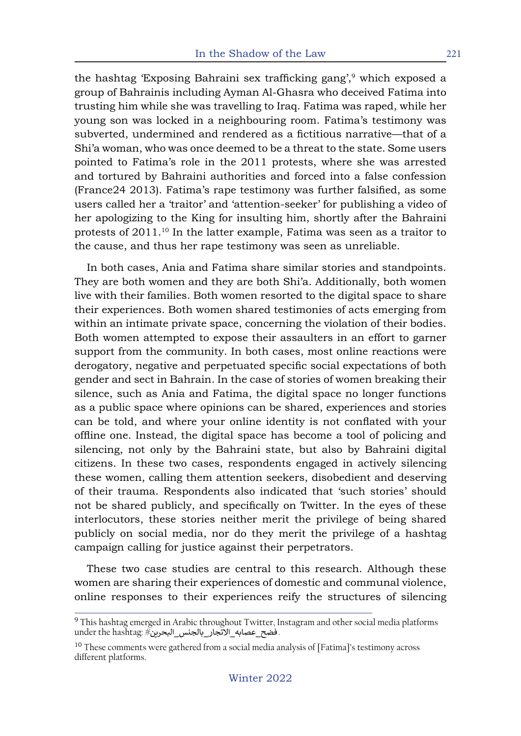the hashtag 'Exposing Bahraini sex trafficking gang',<sup>9</sup> which exposed a group of Bahrainis including Ayman Al-Ghasra who deceived Fatima into trusting him while she was travelling to Iraq. Fatima was raped, while her young son was locked in a neighbouring room. Fatima's testimony was subverted, undermined and rendered as a fictitious narrative—that of a Shi'a woman, who was once deemed to be a threat to the state. Some users pointed to Fatima's role in the 2011 protests, where she was arrested and tortured by Bahraini authorities and forced into a false confession (France24 2013). Fatima's rape testimony was further falsified, as some users called her a 'traitor' and 'attention-seeker' for publishing a video of her apologizing to the King for insulting him, shortly after the Bahraini protests of 2011.10 In the latter example, Fatima was seen as a traitor to the cause, and thus her rape testimony was seen as unreliable.

In both cases, Ania and Fatima share similar stories and standpoints. They are both women and they are both Shi'a. Additionally, both women live with their families. Both women resorted to the digital space to share their experiences. Both women shared testimonies of acts emerging from within an intimate private space, concerning the violation of their bodies. Both women attempted to expose their assaulters in an effort to garner support from the community. In both cases, most online reactions were derogatory, negative and perpetuated specific social expectations of both gender and sect in Bahrain. In the case of stories of women breaking their silence, such as Ania and Fatima, the digital space no longer functions as a public space where opinions can be shared, experiences and stories can be told, and where your online identity is not conflated with your offline one. Instead, the digital space has become a tool of policing and silencing, not only by the Bahraini state, but also by Bahraini digital citizens. In these two cases, respondents engaged in actively silencing these women, calling them attention seekers, disobedient and deserving of their trauma. Respondents also indicated that 'such stories' should not be shared publicly, and specifically on Twitter. In the eyes of these interlocutors, these stories neither merit the privilege of being shared publicly on social media, nor do they merit the privilege of a hashtag campaign calling for justice against their perpetrators.

These two case studies are central to this research. Although these women are sharing their experiences of domestic and communal violence, online responses to their experiences reify the structures of silencing

<sup>&</sup>lt;sup>9</sup> This hashtag emerged in Arabic throughout Twitter, Instagram and other social media platforms under the hashtag: #فضح\_عصابه\_الاتجار\_بالجنس\_البحرين.

<sup>&</sup>lt;sup>10</sup> These comments were gathered from a social media analysis of [Fatima]'s testimony across different platforms.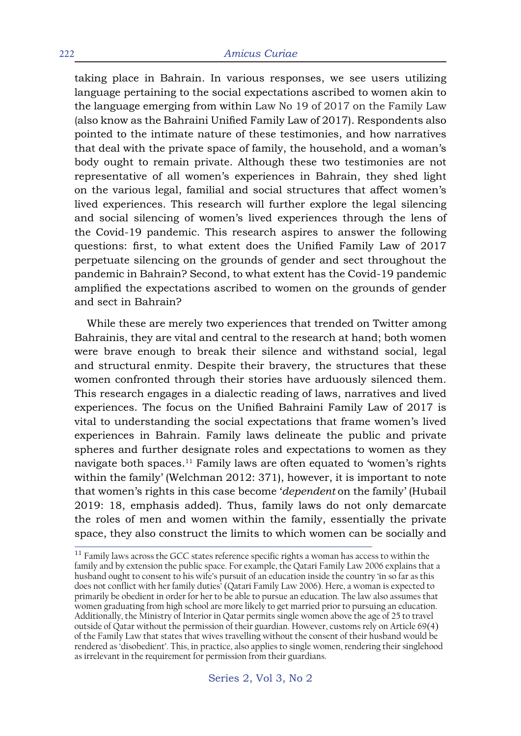taking place in Bahrain. In various responses, we see users utilizing language pertaining to the social expectations ascribed to women akin to the language emerging from within Law No 19 of 2017 on the Family Law (also know as the Bahraini Unified Family Law of 2017). Respondents also pointed to the intimate nature of these testimonies, and how narratives that deal with the private space of family, the household, and a woman's body ought to remain private. Although these two testimonies are not representative of all women's experiences in Bahrain, they shed light on the various legal, familial and social structures that affect women's lived experiences. This research will further explore the legal silencing and social silencing of women's lived experiences through the lens of the Covid-19 pandemic. This research aspires to answer the following questions: first, to what extent does the Unified Family Law of 2017 perpetuate silencing on the grounds of gender and sect throughout the pandemic in Bahrain? Second, to what extent has the Covid-19 pandemic amplified the expectations ascribed to women on the grounds of gender and sect in Bahrain?

While these are merely two experiences that trended on Twitter among Bahrainis, they are vital and central to the research at hand; both women were brave enough to break their silence and withstand social, legal and structural enmity. Despite their bravery, the structures that these women confronted through their stories have arduously silenced them. This research engages in a dialectic reading of laws, narratives and lived experiences. The focus on the Unified Bahraini Family Law of 2017 is vital to understanding the social expectations that frame women's lived experiences in Bahrain. Family laws delineate the public and private spheres and further designate roles and expectations to women as they navigate both spaces.<sup>11</sup> Family laws are often equated to 'women's rights within the family' (Welchman 2012: 371), however, it is important to note that women's rights in this case become '*dependent* on the family' (Hubail 2019: 18, emphasis added). Thus, family laws do not only demarcate the roles of men and women within the family, essentially the private space, they also construct the limits to which women can be socially and

 $11$  Family laws across the GCC states reference specific rights a woman has access to within the family and by extension the public space. For example, the Qatari Family Law 2006 explains that a husband ought to consent to his wife's pursuit of an education inside the country 'in so far as this does not conflict with her family duties' (Qatari Family Law 2006). Here, a woman is expected to primarily be obedient in order for her to be able to pursue an education. The law also assumes that women graduating from high school are more likely to get married prior to pursuing an education. Additionally, the Ministry of Interior in Qatar permits single women above the age of 25 to travel outside of Qatar without the permission of their guardian. However, customs rely on Article 69(4) of the Family Law that states that wives travelling without the consent of their husband would be rendered as 'disobedient'. This, in practice, also applies to single women, rendering their singlehood as irrelevant in the requirement for permission from their guardians.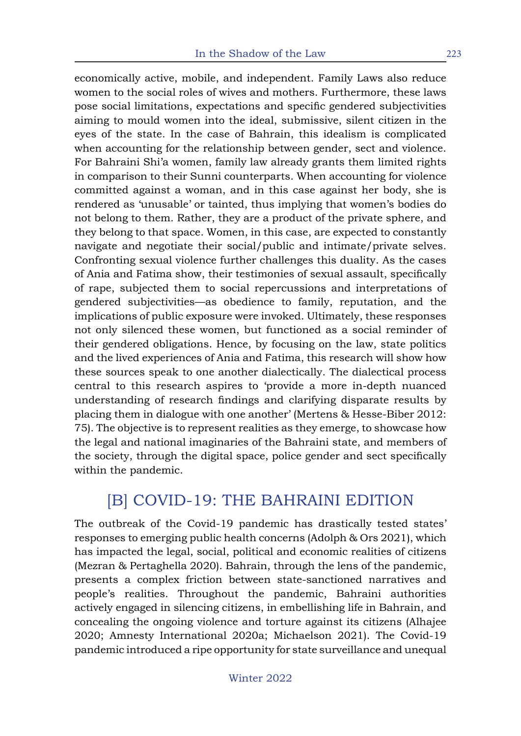economically active, mobile, and independent. Family Laws also reduce women to the social roles of wives and mothers. Furthermore, these laws pose social limitations, expectations and specific gendered subjectivities aiming to mould women into the ideal, submissive, silent citizen in the eyes of the state. In the case of Bahrain, this idealism is complicated when accounting for the relationship between gender, sect and violence. For Bahraini Shi'a women, family law already grants them limited rights in comparison to their Sunni counterparts. When accounting for violence committed against a woman, and in this case against her body, she is rendered as 'unusable' or tainted, thus implying that women's bodies do not belong to them. Rather, they are a product of the private sphere, and they belong to that space. Women, in this case, are expected to constantly navigate and negotiate their social/public and intimate/private selves. Confronting sexual violence further challenges this duality. As the cases of Ania and Fatima show, their testimonies of sexual assault, specifically of rape, subjected them to social repercussions and interpretations of gendered subjectivities—as obedience to family, reputation, and the implications of public exposure were invoked. Ultimately, these responses not only silenced these women, but functioned as a social reminder of their gendered obligations. Hence, by focusing on the law, state politics and the lived experiences of Ania and Fatima, this research will show how these sources speak to one another dialectically. The dialectical process central to this research aspires to 'provide a more in-depth nuanced understanding of research findings and clarifying disparate results by placing them in dialogue with one another' (Mertens & Hesse-Biber 2012: 75). The objective is to represent realities as they emerge, to showcase how the legal and national imaginaries of the Bahraini state, and members of the society, through the digital space, police gender and sect specifically within the pandemic.

## [B] COVID-19: THE BAHRAINI EDITION

The outbreak of the Covid-19 pandemic has drastically tested states' responses to emerging public health concerns (Adolph & Ors 2021), which has impacted the legal, social, political and economic realities of citizens (Mezran & Pertaghella 2020). Bahrain, through the lens of the pandemic, presents a complex friction between state-sanctioned narratives and people's realities. Throughout the pandemic, Bahraini authorities actively engaged in silencing citizens, in embellishing life in Bahrain, and concealing the ongoing violence and torture against its citizens (Alhajee 2020; Amnesty International 2020a; Michaelson 2021). The Covid-19 pandemic introduced a ripe opportunity for state surveillance and unequal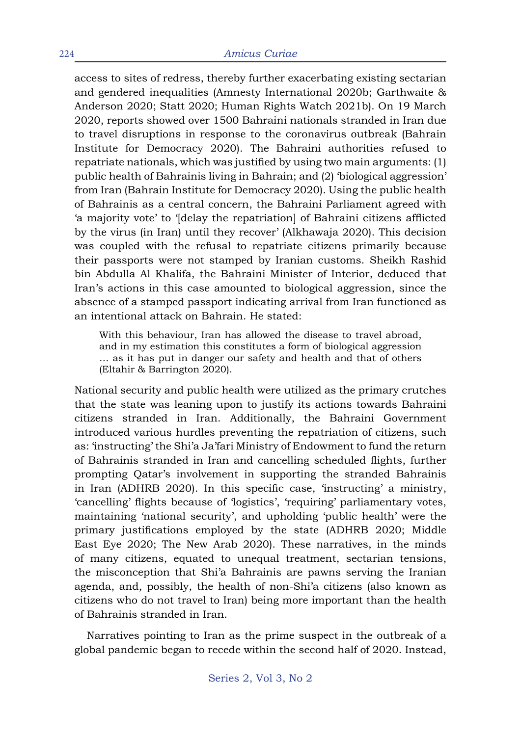access to sites of redress, thereby further exacerbating existing sectarian and gendered inequalities (Amnesty International 2020b; Garthwaite & Anderson 2020; Statt 2020; Human Rights Watch 2021b). On 19 March 2020, reports showed over 1500 Bahraini nationals stranded in Iran due to travel disruptions in response to the coronavirus outbreak (Bahrain Institute for Democracy 2020). The Bahraini authorities refused to repatriate nationals, which was justified by using two main arguments: (1) public health of Bahrainis living in Bahrain; and (2) 'biological aggression' from Iran (Bahrain Institute for Democracy 2020). Using the public health of Bahrainis as a central concern, the Bahraini Parliament agreed with 'a majority vote' to '[delay the repatriation] of Bahraini citizens afflicted by the virus (in Iran) until they recover' (Alkhawaja 2020). This decision was coupled with the refusal to repatriate citizens primarily because their passports were not stamped by Iranian customs. Sheikh Rashid bin Abdulla Al Khalifa, the Bahraini Minister of Interior, deduced that Iran's actions in this case amounted to biological aggression, since the absence of a stamped passport indicating arrival from Iran functioned as an intentional attack on Bahrain. He stated:

With this behaviour, Iran has allowed the disease to travel abroad, and in my estimation this constitutes a form of biological aggression … as it has put in danger our safety and health and that of others (Eltahir & Barrington 2020).

National security and public health were utilized as the primary crutches that the state was leaning upon to justify its actions towards Bahraini citizens stranded in Iran. Additionally, the Bahraini Government introduced various hurdles preventing the repatriation of citizens, such as: 'instructing' the Shi'a Ja'fari Ministry of Endowment to fund the return of Bahrainis stranded in Iran and cancelling scheduled flights, further prompting Qatar's involvement in supporting the stranded Bahrainis in Iran (ADHRB 2020). In this specific case, 'instructing' a ministry, 'cancelling' flights because of 'logistics', 'requiring' parliamentary votes, maintaining 'national security', and upholding 'public health' were the primary justifications employed by the state (ADHRB 2020; Middle East Eye 2020; The New Arab 2020). These narratives, in the minds of many citizens, equated to unequal treatment, sectarian tensions, the misconception that Shi'a Bahrainis are pawns serving the Iranian agenda, and, possibly, the health of non-Shi'a citizens (also known as citizens who do not travel to Iran) being more important than the health of Bahrainis stranded in Iran.

Narratives pointing to Iran as the prime suspect in the outbreak of a global pandemic began to recede within the second half of 2020. Instead,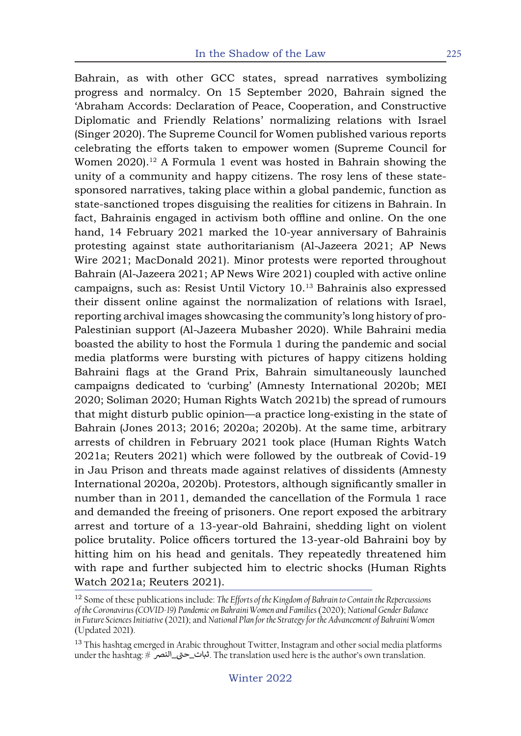Bahrain, as with other GCC states, spread narratives symbolizing progress and normalcy. On 15 September 2020, Bahrain signed the 'Abraham Accords: Declaration of Peace, Cooperation, and Constructive Diplomatic and Friendly Relations' normalizing relations with Israel (Singer 2020). The Supreme Council for Women published various reports celebrating the efforts taken to empower women (Supreme Council for Women 2020).<sup>12</sup> A Formula 1 event was hosted in Bahrain showing the unity of a community and happy citizens. The rosy lens of these statesponsored narratives, taking place within a global pandemic, function as state-sanctioned tropes disguising the realities for citizens in Bahrain. In fact, Bahrainis engaged in activism both offline and online. On the one hand, 14 February 2021 marked the 10-year anniversary of Bahrainis protesting against state authoritarianism (Al-Jazeera 2021; AP News Wire 2021; MacDonald 2021). Minor protests were reported throughout Bahrain (Al-Jazeera 2021; AP News Wire 2021) coupled with active online campaigns, such as: Resist Until Victory 10.13 Bahrainis also expressed their dissent online against the normalization of relations with Israel, reporting archival images showcasing the community's long history of pro-Palestinian support (Al-Jazeera Mubasher 2020). While Bahraini media boasted the ability to host the Formula 1 during the pandemic and social media platforms were bursting with pictures of happy citizens holding Bahraini flags at the Grand Prix, Bahrain simultaneously launched campaigns dedicated to 'curbing' (Amnesty International 2020b; MEI 2020; Soliman 2020; Human Rights Watch 2021b) the spread of rumours that might disturb public opinion—a practice long-existing in the state of Bahrain (Jones 2013; 2016; 2020a; 2020b). At the same time, arbitrary arrests of children in February 2021 took place (Human Rights Watch 2021a; Reuters 2021) which were followed by the outbreak of Covid-19 in Jau Prison and threats made against relatives of dissidents (Amnesty International 2020a, 2020b). Protestors, although significantly smaller in number than in 2011, demanded the cancellation of the Formula 1 race and demanded the freeing of prisoners. One report exposed the arbitrary arrest and torture of a 13-year-old Bahraini, shedding light on violent police brutality. Police officers tortured the 13-year-old Bahraini boy by hitting him on his head and genitals. They repeatedly threatened him with rape and further subjected him to electric shocks (Human Rights Watch 2021a; Reuters 2021).

<sup>12</sup> Some of these publications include: *The Efforts of the Kingdom of Bahrain to Contain the Repercussions of the Coronavirus (COVID-19) Pandemic on Bahraini Women and Families* (2020); *National Gender Balance in Future Sciences Initiative* (2021); and *National Plan for the Strategy for the Advancement of Bahraini Women* (Updated 2021).

<sup>&</sup>lt;sup>13</sup> This hashtag emerged in Arabic throughout Twitter, Instagram and other social media platforms rms nashtag energed in rindste einergnede i wiede, modgram did ocher soeidi media piaets<br>بنات\_حتی\_النصر # The translation used here is the author's own translation.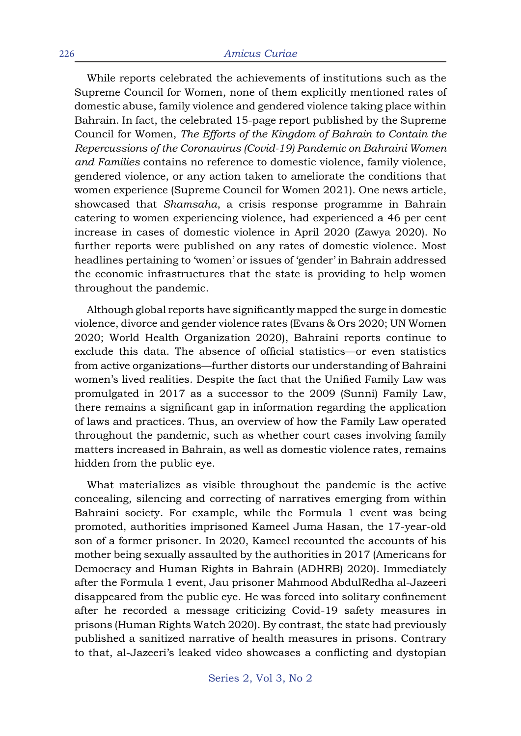While reports celebrated the achievements of institutions such as the Supreme Council for Women, none of them explicitly mentioned rates of domestic abuse, family violence and gendered violence taking place within Bahrain. In fact, the celebrated 15-page report published by the Supreme Council for Women, *The Efforts of the Kingdom of Bahrain to Contain the Repercussions of the Coronavirus (Covid-19) Pandemic on Bahraini Women and Families* contains no reference to domestic violence, family violence, gendered violence, or any action taken to ameliorate the conditions that women experience (Supreme Council for Women 2021). One news article, showcased that *Shamsaha*, a crisis response programme in Bahrain catering to women experiencing violence, had experienced a 46 per cent increase in cases of domestic violence in April 2020 (Zawya 2020). No further reports were published on any rates of domestic violence. Most headlines pertaining to 'women' or issues of 'gender' in Bahrain addressed the economic infrastructures that the state is providing to help women throughout the pandemic.

Although global reports have significantly mapped the surge in domestic violence, divorce and gender violence rates (Evans & Ors 2020; UN Women 2020; World Health Organization 2020), Bahraini reports continue to exclude this data. The absence of official statistics—or even statistics from active organizations—further distorts our understanding of Bahraini women's lived realities. Despite the fact that the Unified Family Law was promulgated in 2017 as a successor to the 2009 (Sunni) Family Law, there remains a significant gap in information regarding the application of laws and practices. Thus, an overview of how the Family Law operated throughout the pandemic, such as whether court cases involving family matters increased in Bahrain, as well as domestic violence rates, remains hidden from the public eye.

What materializes as visible throughout the pandemic is the active concealing, silencing and correcting of narratives emerging from within Bahraini society. For example, while the Formula 1 event was being promoted, authorities imprisoned Kameel Juma Hasan, the 17-year-old son of a former prisoner. In 2020, Kameel recounted the accounts of his mother being sexually assaulted by the authorities in 2017 (Americans for Democracy and Human Rights in Bahrain (ADHRB) 2020). Immediately after the Formula 1 event, Jau prisoner Mahmood AbdulRedha al-Jazeeri disappeared from the public eye. He was forced into solitary confinement after he recorded a message criticizing Covid-19 safety measures in prisons (Human Rights Watch 2020). By contrast, the state had previously published a sanitized narrative of health measures in prisons. Contrary to that, al-Jazeeri's leaked video showcases a conflicting and dystopian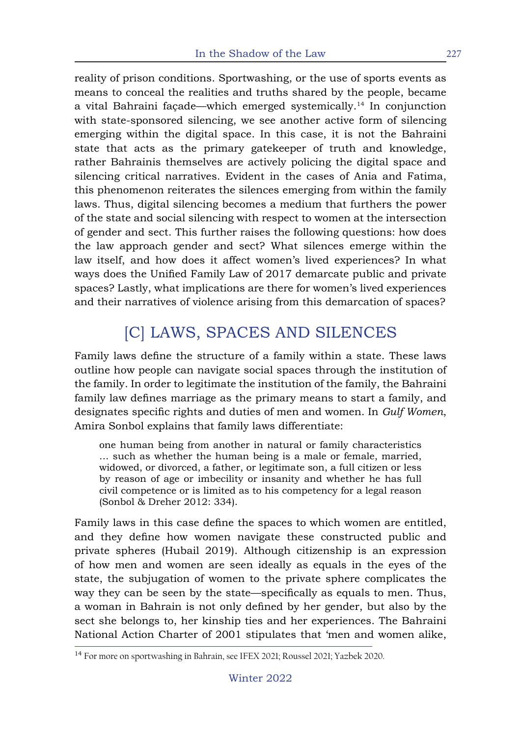reality of prison conditions. Sportwashing, or the use of sports events as means to conceal the realities and truths shared by the people, became a vital Bahraini façade—which emerged systemically.14 In conjunction with state-sponsored silencing, we see another active form of silencing emerging within the digital space. In this case, it is not the Bahraini state that acts as the primary gatekeeper of truth and knowledge, rather Bahrainis themselves are actively policing the digital space and silencing critical narratives. Evident in the cases of Ania and Fatima, this phenomenon reiterates the silences emerging from within the family laws. Thus, digital silencing becomes a medium that furthers the power of the state and social silencing with respect to women at the intersection of gender and sect. This further raises the following questions: how does the law approach gender and sect? What silences emerge within the law itself, and how does it affect women's lived experiences? In what ways does the Unified Family Law of 2017 demarcate public and private spaces? Lastly, what implications are there for women's lived experiences and their narratives of violence arising from this demarcation of spaces?

# [C] LAWS, SPACES AND SILENCES

Family laws define the structure of a family within a state. These laws outline how people can navigate social spaces through the institution of the family. In order to legitimate the institution of the family, the Bahraini family law defines marriage as the primary means to start a family, and designates specific rights and duties of men and women. In *Gulf Women*, Amira Sonbol explains that family laws differentiate:

one human being from another in natural or family characteristics … such as whether the human being is a male or female, married, widowed, or divorced, a father, or legitimate son, a full citizen or less by reason of age or imbecility or insanity and whether he has full civil competence or is limited as to his competency for a legal reason (Sonbol & Dreher 2012: 334).

Family laws in this case define the spaces to which women are entitled, and they define how women navigate these constructed public and private spheres (Hubail 2019). Although citizenship is an expression of how men and women are seen ideally as equals in the eyes of the state, the subjugation of women to the private sphere complicates the way they can be seen by the state—specifically as equals to men. Thus, a woman in Bahrain is not only defined by her gender, but also by the sect she belongs to, her kinship ties and her experiences. The Bahraini National Action Charter of 2001 stipulates that 'men and women alike,

<sup>&</sup>lt;sup>14</sup> For more on sportwashing in Bahrain, see IFEX 2021; Roussel 2021; Yazbek 2020.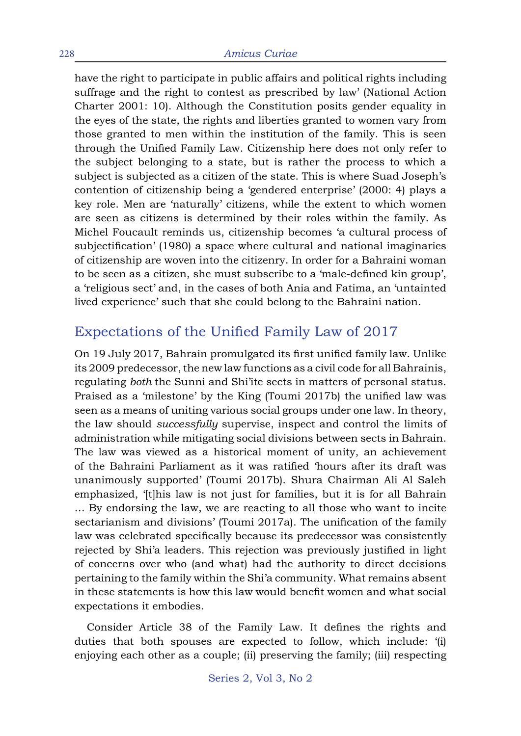have the right to participate in public affairs and political rights including suffrage and the right to contest as prescribed by law' (National Action Charter 2001: 10). Although the Constitution posits gender equality in the eyes of the state, the rights and liberties granted to women vary from those granted to men within the institution of the family. This is seen through the Unified Family Law. Citizenship here does not only refer to the subject belonging to a state, but is rather the process to which a subject is subjected as a citizen of the state. This is where Suad Joseph's contention of citizenship being a 'gendered enterprise' (2000: 4) plays a key role. Men are 'naturally' citizens, while the extent to which women are seen as citizens is determined by their roles within the family. As Michel Foucault reminds us, citizenship becomes 'a cultural process of subjectification' (1980) a space where cultural and national imaginaries of citizenship are woven into the citizenry. In order for a Bahraini woman to be seen as a citizen, she must subscribe to a 'male-defined kin group', a 'religious sect' and, in the cases of both Ania and Fatima, an 'untainted lived experience' such that she could belong to the Bahraini nation.

#### Expectations of the Unified Family Law of 2017

On 19 July 2017, Bahrain promulgated its first unified family law. Unlike its 2009 predecessor, the new law functions as a civil code for all Bahrainis, regulating *both* the Sunni and Shi'ite sects in matters of personal status. Praised as a 'milestone' by the King (Toumi 2017b) the unified law was seen as a means of uniting various social groups under one law. In theory, the law should *successfully* supervise, inspect and control the limits of administration while mitigating social divisions between sects in Bahrain. The law was viewed as a historical moment of unity, an achievement of the Bahraini Parliament as it was ratified 'hours after its draft was unanimously supported' (Toumi 2017b). Shura Chairman Ali Al Saleh emphasized, '[t]his law is not just for families, but it is for all Bahrain … By endorsing the law, we are reacting to all those who want to incite sectarianism and divisions' (Toumi 2017a). The unification of the family law was celebrated specifically because its predecessor was consistently rejected by Shi'a leaders. This rejection was previously justified in light of concerns over who (and what) had the authority to direct decisions pertaining to the family within the Shi'a community. What remains absent in these statements is how this law would benefit women and what social expectations it embodies.

Consider Article 38 of the Family Law. It defines the rights and duties that both spouses are expected to follow, which include: '(i) enjoying each other as a couple; (ii) preserving the family; (iii) respecting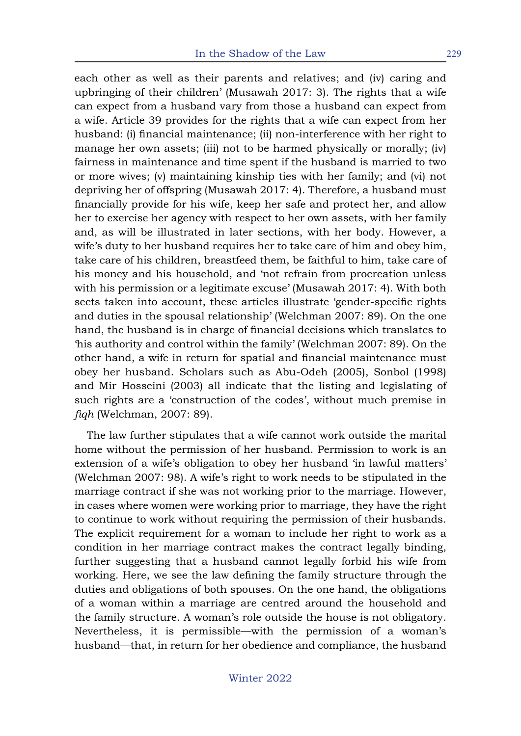each other as well as their parents and relatives; and (iv) caring and upbringing of their children' (Musawah 2017: 3). The rights that a wife can expect from a husband vary from those a husband can expect from a wife. Article 39 provides for the rights that a wife can expect from her husband: (i) financial maintenance; (ii) non-interference with her right to manage her own assets; (iii) not to be harmed physically or morally; (iv) fairness in maintenance and time spent if the husband is married to two or more wives; (v) maintaining kinship ties with her family; and (vi) not depriving her of offspring (Musawah 2017: 4). Therefore, a husband must financially provide for his wife, keep her safe and protect her, and allow her to exercise her agency with respect to her own assets, with her family and, as will be illustrated in later sections, with her body. However, a wife's duty to her husband requires her to take care of him and obey him, take care of his children, breastfeed them, be faithful to him, take care of his money and his household, and 'not refrain from procreation unless with his permission or a legitimate excuse' (Musawah 2017: 4). With both sects taken into account, these articles illustrate 'gender-specific rights and duties in the spousal relationship' (Welchman 2007: 89). On the one hand, the husband is in charge of financial decisions which translates to 'his authority and control within the family' (Welchman 2007: 89). On the other hand, a wife in return for spatial and financial maintenance must obey her husband. Scholars such as Abu-Odeh (2005), Sonbol (1998) and Mir Hosseini (2003) all indicate that the listing and legislating of such rights are a 'construction of the codes', without much premise in *fiqh* (Welchman, 2007: 89).

The law further stipulates that a wife cannot work outside the marital home without the permission of her husband. Permission to work is an extension of a wife's obligation to obey her husband 'in lawful matters' (Welchman 2007: 98). A wife's right to work needs to be stipulated in the marriage contract if she was not working prior to the marriage. However, in cases where women were working prior to marriage, they have the right to continue to work without requiring the permission of their husbands. The explicit requirement for a woman to include her right to work as a condition in her marriage contract makes the contract legally binding, further suggesting that a husband cannot legally forbid his wife from working. Here, we see the law defining the family structure through the duties and obligations of both spouses. On the one hand, the obligations of a woman within a marriage are centred around the household and the family structure. A woman's role outside the house is not obligatory. Nevertheless, it is permissible—with the permission of a woman's husband—that, in return for her obedience and compliance, the husband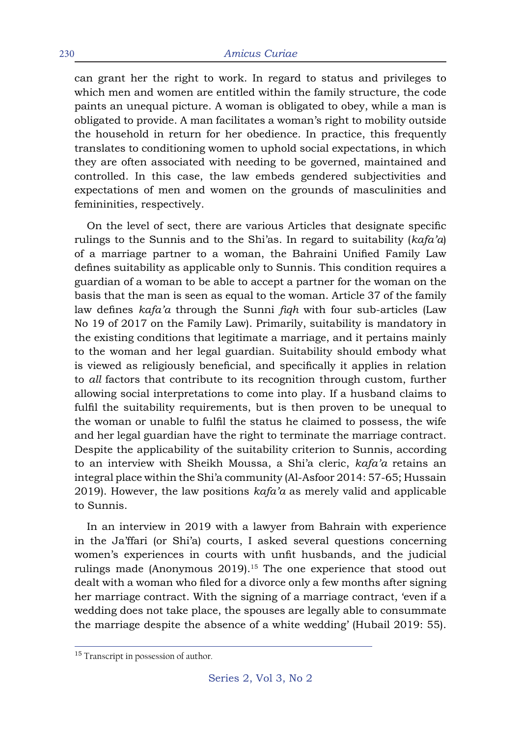can grant her the right to work. In regard to status and privileges to which men and women are entitled within the family structure, the code paints an unequal picture. A woman is obligated to obey, while a man is obligated to provide. A man facilitates a woman's right to mobility outside the household in return for her obedience. In practice, this frequently translates to conditioning women to uphold social expectations, in which they are often associated with needing to be governed, maintained and controlled. In this case, the law embeds gendered subjectivities and expectations of men and women on the grounds of masculinities and femininities, respectively.

On the level of sect, there are various Articles that designate specific rulings to the Sunnis and to the Shi'as. In regard to suitability (*kafa'a*) of a marriage partner to a woman, the Bahraini Unified Family Law defines suitability as applicable only to Sunnis. This condition requires a guardian of a woman to be able to accept a partner for the woman on the basis that the man is seen as equal to the woman. Article 37 of the family law defines *kafa'a* through the Sunni *fiqh* with four sub-articles (Law No 19 of 2017 on the Family Law). Primarily, suitability is mandatory in the existing conditions that legitimate a marriage, and it pertains mainly to the woman and her legal guardian. Suitability should embody what is viewed as religiously beneficial, and specifically it applies in relation to *all* factors that contribute to its recognition through custom, further allowing social interpretations to come into play. If a husband claims to fulfil the suitability requirements, but is then proven to be unequal to the woman or unable to fulfil the status he claimed to possess, the wife and her legal guardian have the right to terminate the marriage contract. Despite the applicability of the suitability criterion to Sunnis, according to an interview with Sheikh Moussa, a Shi'a cleric, *kafa'a* retains an integral place within the Shi'a community (Al-Asfoor 2014: 57-65; Hussain 2019). However, the law positions *kafa'a* as merely valid and applicable to Sunnis.

In an interview in 2019 with a lawyer from Bahrain with experience in the Ja'ffari (or Shi'a) courts, I asked several questions concerning women's experiences in courts with unfit husbands, and the judicial rulings made (Anonymous 2019).<sup>15</sup> The one experience that stood out dealt with a woman who filed for a divorce only a few months after signing her marriage contract. With the signing of a marriage contract, 'even if a wedding does not take place, the spouses are legally able to consummate the marriage despite the absence of a white wedding' (Hubail 2019: 55).

<sup>&</sup>lt;sup>15</sup> Transcript in possession of author.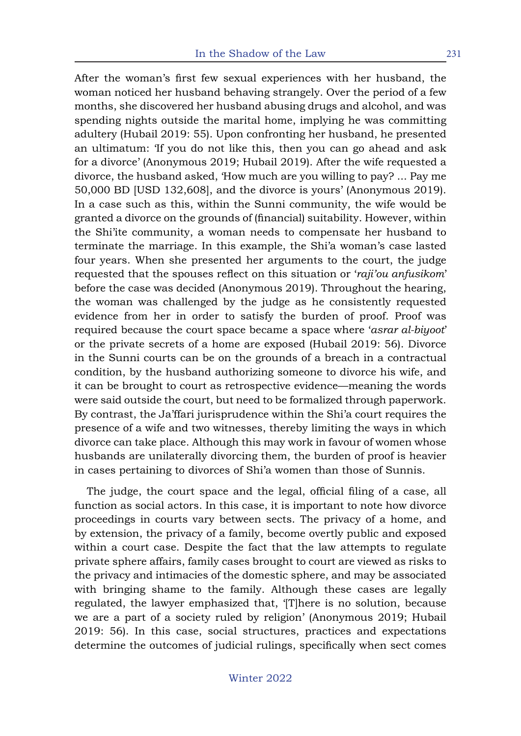After the woman's first few sexual experiences with her husband, the woman noticed her husband behaving strangely. Over the period of a few months, she discovered her husband abusing drugs and alcohol, and was spending nights outside the marital home, implying he was committing adultery (Hubail 2019: 55). Upon confronting her husband, he presented an ultimatum: 'If you do not like this, then you can go ahead and ask for a divorce' (Anonymous 2019; Hubail 2019). After the wife requested a divorce, the husband asked, 'How much are you willing to pay? ... Pay me 50,000 BD [USD 132,608], and the divorce is yours' (Anonymous 2019). In a case such as this, within the Sunni community, the wife would be granted a divorce on the grounds of (financial) suitability. However, within the Shi'ite community, a woman needs to compensate her husband to terminate the marriage. In this example, the Shi'a woman's case lasted four years. When she presented her arguments to the court, the judge requested that the spouses reflect on this situation or '*raji'ou anfusikom*' before the case was decided (Anonymous 2019). Throughout the hearing, the woman was challenged by the judge as he consistently requested evidence from her in order to satisfy the burden of proof. Proof was required because the court space became a space where '*asrar al-biyoot*' or the private secrets of a home are exposed (Hubail 2019: 56). Divorce in the Sunni courts can be on the grounds of a breach in a contractual condition, by the husband authorizing someone to divorce his wife, and it can be brought to court as retrospective evidence—meaning the words were said outside the court, but need to be formalized through paperwork. By contrast, the Ja'ffari jurisprudence within the Shi'a court requires the presence of a wife and two witnesses, thereby limiting the ways in which divorce can take place. Although this may work in favour of women whose husbands are unilaterally divorcing them, the burden of proof is heavier in cases pertaining to divorces of Shi'a women than those of Sunnis.

The judge, the court space and the legal, official filing of a case, all function as social actors. In this case, it is important to note how divorce proceedings in courts vary between sects. The privacy of a home, and by extension, the privacy of a family, become overtly public and exposed within a court case. Despite the fact that the law attempts to regulate private sphere affairs, family cases brought to court are viewed as risks to the privacy and intimacies of the domestic sphere, and may be associated with bringing shame to the family. Although these cases are legally regulated, the lawyer emphasized that, '[T]here is no solution, because we are a part of a society ruled by religion' (Anonymous 2019; Hubail 2019: 56). In this case, social structures, practices and expectations determine the outcomes of judicial rulings, specifically when sect comes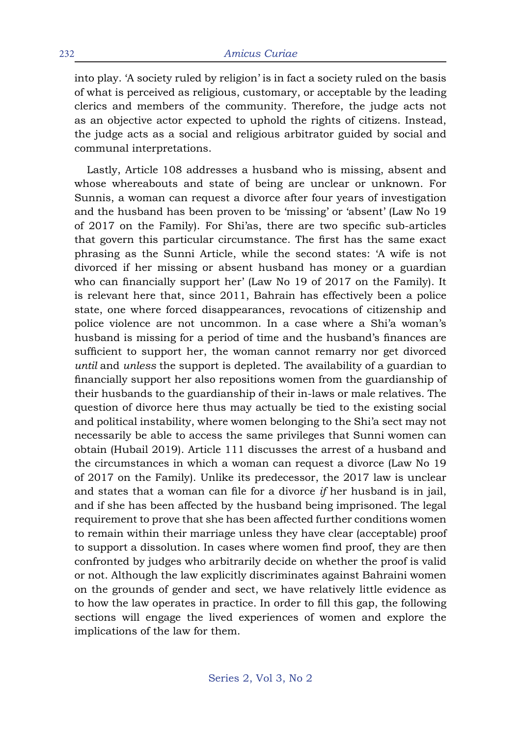into play. 'A society ruled by religion' is in fact a society ruled on the basis of what is perceived as religious, customary, or acceptable by the leading clerics and members of the community. Therefore, the judge acts not as an objective actor expected to uphold the rights of citizens. Instead, the judge acts as a social and religious arbitrator guided by social and communal interpretations.

Lastly, Article 108 addresses a husband who is missing, absent and whose whereabouts and state of being are unclear or unknown. For Sunnis, a woman can request a divorce after four years of investigation and the husband has been proven to be 'missing' or 'absent' (Law No 19 of 2017 on the Family). For Shi'as, there are two specific sub-articles that govern this particular circumstance. The first has the same exact phrasing as the Sunni Article, while the second states: 'A wife is not divorced if her missing or absent husband has money or a guardian who can financially support her' (Law No 19 of 2017 on the Family). It is relevant here that, since 2011, Bahrain has effectively been a police state, one where forced disappearances, revocations of citizenship and police violence are not uncommon. In a case where a Shi'a woman's husband is missing for a period of time and the husband's finances are sufficient to support her, the woman cannot remarry nor get divorced *until* and *unless* the support is depleted. The availability of a guardian to financially support her also repositions women from the guardianship of their husbands to the guardianship of their in-laws or male relatives. The question of divorce here thus may actually be tied to the existing social and political instability, where women belonging to the Shi'a sect may not necessarily be able to access the same privileges that Sunni women can obtain (Hubail 2019). Article 111 discusses the arrest of a husband and the circumstances in which a woman can request a divorce (Law No 19 of 2017 on the Family). Unlike its predecessor, the 2017 law is unclear and states that a woman can file for a divorce *if* her husband is in jail, and if she has been affected by the husband being imprisoned. The legal requirement to prove that she has been affected further conditions women to remain within their marriage unless they have clear (acceptable) proof to support a dissolution. In cases where women find proof, they are then confronted by judges who arbitrarily decide on whether the proof is valid or not. Although the law explicitly discriminates against Bahraini women on the grounds of gender and sect, we have relatively little evidence as to how the law operates in practice. In order to fill this gap, the following sections will engage the lived experiences of women and explore the implications of the law for them.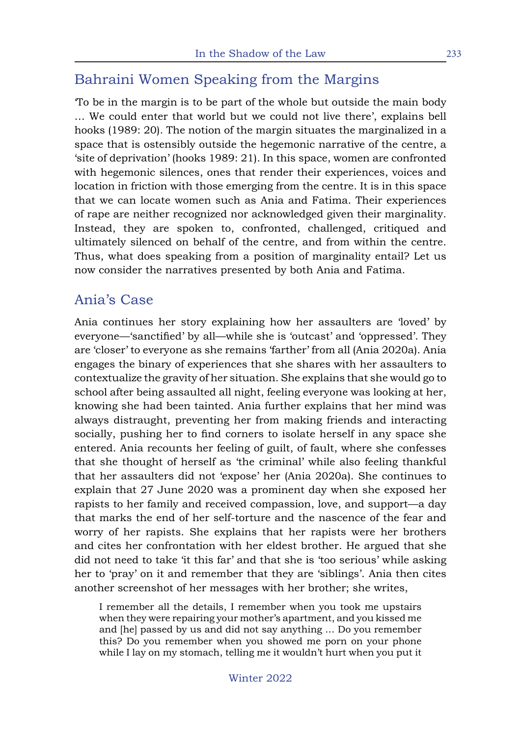### Bahraini Women Speaking from the Margins

'To be in the margin is to be part of the whole but outside the main body … We could enter that world but we could not live there', explains bell hooks (1989: 20). The notion of the margin situates the marginalized in a space that is ostensibly outside the hegemonic narrative of the centre, a 'site of deprivation' (hooks 1989: 21). In this space, women are confronted with hegemonic silences, ones that render their experiences, voices and location in friction with those emerging from the centre. It is in this space that we can locate women such as Ania and Fatima. Their experiences of rape are neither recognized nor acknowledged given their marginality. Instead, they are spoken to, confronted, challenged, critiqued and ultimately silenced on behalf of the centre, and from within the centre. Thus, what does speaking from a position of marginality entail? Let us now consider the narratives presented by both Ania and Fatima.

#### Ania's Case

Ania continues her story explaining how her assaulters are 'loved' by everyone—'sanctified' by all—while she is 'outcast' and 'oppressed'. They are 'closer' to everyone as she remains 'farther' from all (Ania 2020a). Ania engages the binary of experiences that she shares with her assaulters to contextualize the gravity of her situation. She explains that she would go to school after being assaulted all night, feeling everyone was looking at her, knowing she had been tainted. Ania further explains that her mind was always distraught, preventing her from making friends and interacting socially, pushing her to find corners to isolate herself in any space she entered. Ania recounts her feeling of guilt, of fault, where she confesses that she thought of herself as 'the criminal' while also feeling thankful that her assaulters did not 'expose' her (Ania 2020a). She continues to explain that 27 June 2020 was a prominent day when she exposed her rapists to her family and received compassion, love, and support—a day that marks the end of her self-torture and the nascence of the fear and worry of her rapists. She explains that her rapists were her brothers and cites her confrontation with her eldest brother. He argued that she did not need to take 'it this far' and that she is 'too serious' while asking her to 'pray' on it and remember that they are 'siblings'. Ania then cites another screenshot of her messages with her brother; she writes,

I remember all the details, I remember when you took me upstairs when they were repairing your mother's apartment, and you kissed me and [he] passed by us and did not say anything … Do you remember this? Do you remember when you showed me porn on your phone while I lay on my stomach, telling me it wouldn't hurt when you put it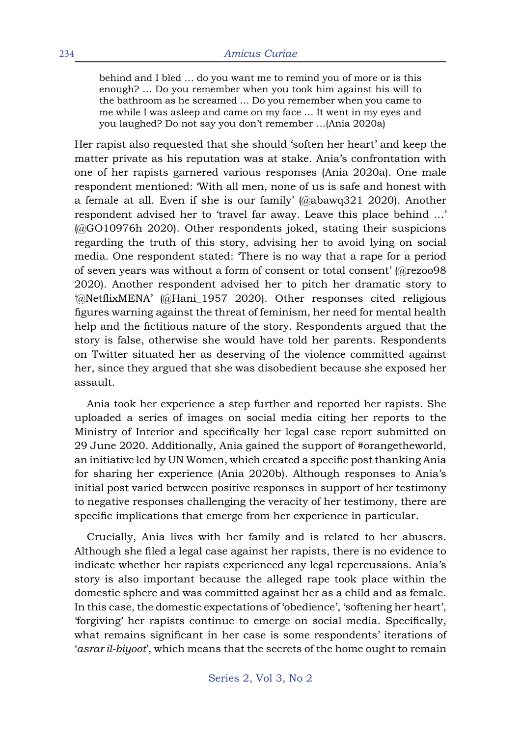behind and I bled … do you want me to remind you of more or is this enough? ... Do you remember when you took him against his will to the bathroom as he screamed … Do you remember when you came to me while I was asleep and came on my face … It went in my eyes and you laughed? Do not say you don't remember …(Ania 2020a)

Her rapist also requested that she should 'soften her heart' and keep the matter private as his reputation was at stake. Ania's confrontation with one of her rapists garnered various responses (Ania 2020a). One male respondent mentioned: 'With all men, none of us is safe and honest with a female at all. Even if she is our family' (@abawq321 2020). Another respondent advised her to 'travel far away. Leave this place behind …' (@GO10976h 2020). Other respondents joked, stating their suspicions regarding the truth of this story, advising her to avoid lying on social media. One respondent stated: 'There is no way that a rape for a period of seven years was without a form of consent or total consent' (@rezoo98 2020). Another respondent advised her to pitch her dramatic story to '@NetflixMENA' (@Hani\_1957 2020). Other responses cited religious figures warning against the threat of feminism, her need for mental health help and the fictitious nature of the story. Respondents argued that the story is false, otherwise she would have told her parents. Respondents on Twitter situated her as deserving of the violence committed against her, since they argued that she was disobedient because she exposed her assault.

Ania took her experience a step further and reported her rapists. She uploaded a series of images on social media citing her reports to the Ministry of Interior and specifically her legal case report submitted on 29 June 2020. Additionally, Ania gained the support of #orangetheworld, an initiative led by UN Women, which created a specific post thanking Ania for sharing her experience (Ania 2020b). Although responses to Ania's initial post varied between positive responses in support of her testimony to negative responses challenging the veracity of her testimony, there are specific implications that emerge from her experience in particular.

Crucially, Ania lives with her family and is related to her abusers. Although she filed a legal case against her rapists, there is no evidence to indicate whether her rapists experienced any legal repercussions. Ania's story is also important because the alleged rape took place within the domestic sphere and was committed against her as a child and as female. In this case, the domestic expectations of 'obedience', 'softening her heart', 'forgiving' her rapists continue to emerge on social media. Specifically, what remains significant in her case is some respondents' iterations of '*asrar il-biyoot*', which means that the secrets of the home ought to remain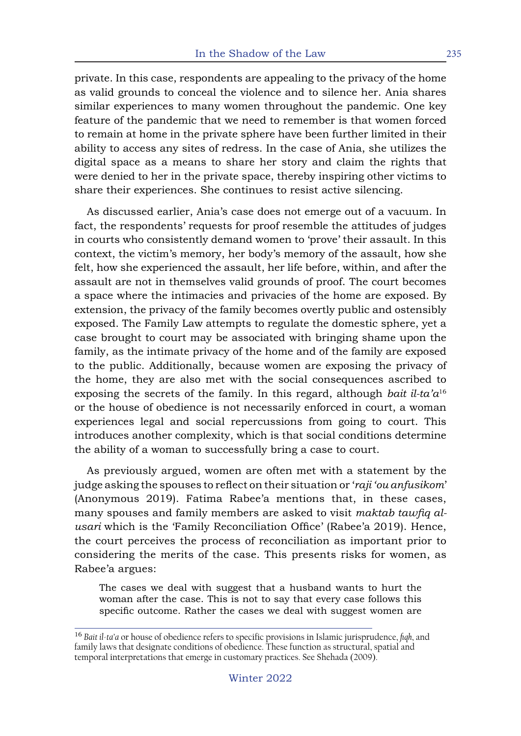private. In this case, respondents are appealing to the privacy of the home as valid grounds to conceal the violence and to silence her. Ania shares similar experiences to many women throughout the pandemic. One key feature of the pandemic that we need to remember is that women forced to remain at home in the private sphere have been further limited in their ability to access any sites of redress. In the case of Ania, she utilizes the digital space as a means to share her story and claim the rights that were denied to her in the private space, thereby inspiring other victims to share their experiences. She continues to resist active silencing.

As discussed earlier, Ania's case does not emerge out of a vacuum. In fact, the respondents' requests for proof resemble the attitudes of judges in courts who consistently demand women to 'prove' their assault. In this context, the victim's memory, her body's memory of the assault, how she felt, how she experienced the assault, her life before, within, and after the assault are not in themselves valid grounds of proof. The court becomes a space where the intimacies and privacies of the home are exposed. By extension, the privacy of the family becomes overtly public and ostensibly exposed. The Family Law attempts to regulate the domestic sphere, yet a case brought to court may be associated with bringing shame upon the family, as the intimate privacy of the home and of the family are exposed to the public. Additionally, because women are exposing the privacy of the home, they are also met with the social consequences ascribed to exposing the secrets of the family. In this regard, although *bait il-ta'a*<sup>16</sup> or the house of obedience is not necessarily enforced in court, a woman experiences legal and social repercussions from going to court. This introduces another complexity, which is that social conditions determine the ability of a woman to successfully bring a case to court.

As previously argued, women are often met with a statement by the judge asking the spouses to reflect on their situation or '*raji 'ou anfusikom*' (Anonymous 2019). Fatima Rabee'a mentions that, in these cases, many spouses and family members are asked to visit *maktab tawfiq alusari* which is the 'Family Reconciliation Office' (Rabee'a 2019). Hence, the court perceives the process of reconciliation as important prior to considering the merits of the case. This presents risks for women, as Rabee'a argues:

The cases we deal with suggest that a husband wants to hurt the woman after the case. This is not to say that every case follows this specific outcome. Rather the cases we deal with suggest women are

<sup>16</sup> *Bait il-ta'a* or house of obedience refers to specific provisions in Islamic jurisprudence, *fiqh*, and family laws that designate conditions of obedience. These function as structural, spatial and temporal interpretations that emerge in customary practices. See Shehada (2009).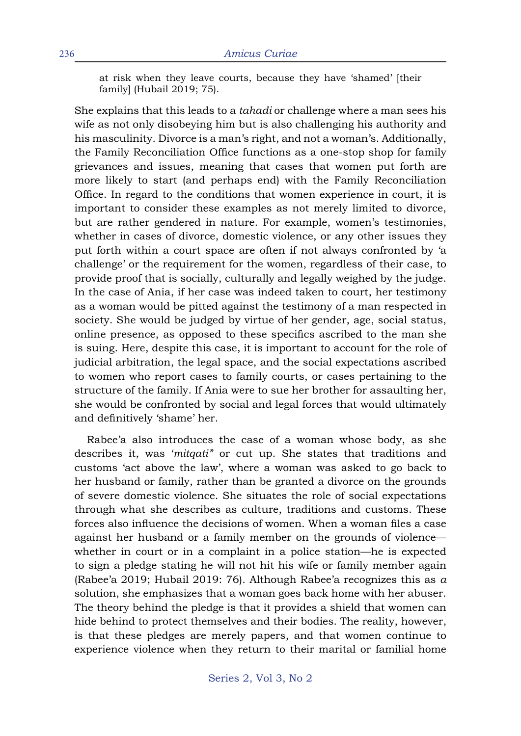at risk when they leave courts, because they have 'shamed' [their family] (Hubail 2019; 75).

She explains that this leads to a *tahadi* or challenge where a man sees his wife as not only disobeying him but is also challenging his authority and his masculinity. Divorce is a man's right, and not a woman's. Additionally, the Family Reconciliation Office functions as a one-stop shop for family grievances and issues, meaning that cases that women put forth are more likely to start (and perhaps end) with the Family Reconciliation Office. In regard to the conditions that women experience in court, it is important to consider these examples as not merely limited to divorce, but are rather gendered in nature. For example, women's testimonies, whether in cases of divorce, domestic violence, or any other issues they put forth within a court space are often if not always confronted by 'a challenge' or the requirement for the women, regardless of their case, to provide proof that is socially, culturally and legally weighed by the judge. In the case of Ania, if her case was indeed taken to court, her testimony as a woman would be pitted against the testimony of a man respected in society. She would be judged by virtue of her gender, age, social status, online presence, as opposed to these specifics ascribed to the man she is suing. Here, despite this case, it is important to account for the role of judicial arbitration, the legal space, and the social expectations ascribed to women who report cases to family courts, or cases pertaining to the structure of the family. If Ania were to sue her brother for assaulting her, she would be confronted by social and legal forces that would ultimately and definitively 'shame' her.

Rabee'a also introduces the case of a woman whose body, as she describes it, was '*mitqati'*' or cut up. She states that traditions and customs 'act above the law', where a woman was asked to go back to her husband or family, rather than be granted a divorce on the grounds of severe domestic violence. She situates the role of social expectations through what she describes as culture, traditions and customs. These forces also influence the decisions of women. When a woman files a case against her husband or a family member on the grounds of violence whether in court or in a complaint in a police station—he is expected to sign a pledge stating he will not hit his wife or family member again (Rabee'a 2019; Hubail 2019: 76). Although Rabee'a recognizes this as *a*  solution, she emphasizes that a woman goes back home with her abuser. The theory behind the pledge is that it provides a shield that women can hide behind to protect themselves and their bodies. The reality, however, is that these pledges are merely papers, and that women continue to experience violence when they return to their marital or familial home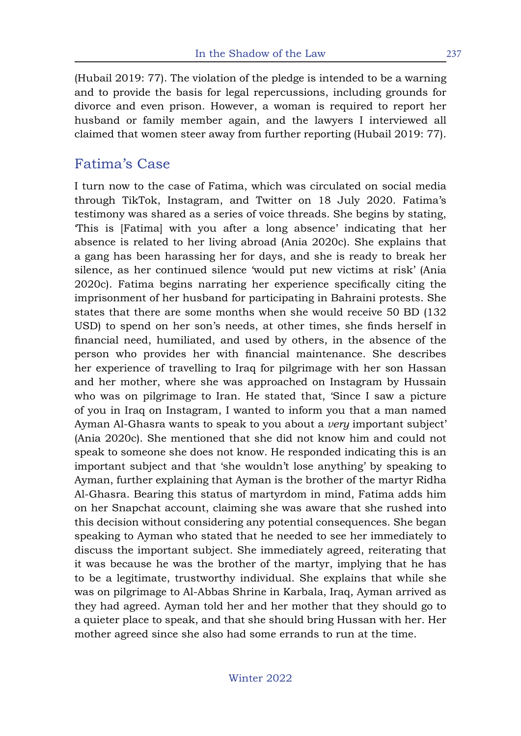(Hubail 2019: 77). The violation of the pledge is intended to be a warning and to provide the basis for legal repercussions, including grounds for divorce and even prison. However, a woman is required to report her husband or family member again, and the lawyers I interviewed all claimed that women steer away from further reporting (Hubail 2019: 77).

### Fatima's Case

I turn now to the case of Fatima, which was circulated on social media through TikTok, Instagram, and Twitter on 18 July 2020. Fatima's testimony was shared as a series of voice threads. She begins by stating, 'This is [Fatima] with you after a long absence' indicating that her absence is related to her living abroad (Ania 2020c). She explains that a gang has been harassing her for days, and she is ready to break her silence, as her continued silence 'would put new victims at risk' (Ania 2020c). Fatima begins narrating her experience specifically citing the imprisonment of her husband for participating in Bahraini protests. She states that there are some months when she would receive 50 BD (132 USD) to spend on her son's needs, at other times, she finds herself in financial need, humiliated, and used by others, in the absence of the person who provides her with financial maintenance. She describes her experience of travelling to Iraq for pilgrimage with her son Hassan and her mother, where she was approached on Instagram by Hussain who was on pilgrimage to Iran. He stated that, 'Since I saw a picture of you in Iraq on Instagram, I wanted to inform you that a man named Ayman Al-Ghasra wants to speak to you about a *very* important subject' (Ania 2020c). She mentioned that she did not know him and could not speak to someone she does not know. He responded indicating this is an important subject and that 'she wouldn't lose anything' by speaking to Ayman, further explaining that Ayman is the brother of the martyr Ridha Al-Ghasra. Bearing this status of martyrdom in mind, Fatima adds him on her Snapchat account, claiming she was aware that she rushed into this decision without considering any potential consequences. She began speaking to Ayman who stated that he needed to see her immediately to discuss the important subject. She immediately agreed, reiterating that it was because he was the brother of the martyr, implying that he has to be a legitimate, trustworthy individual. She explains that while she was on pilgrimage to Al-Abbas Shrine in Karbala, Iraq, Ayman arrived as they had agreed. Ayman told her and her mother that they should go to a quieter place to speak, and that she should bring Hussan with her. Her mother agreed since she also had some errands to run at the time.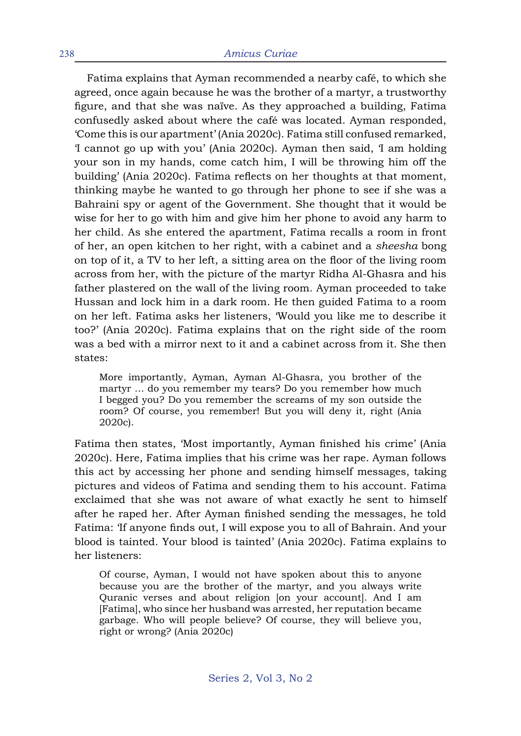Fatima explains that Ayman recommended a nearby café, to which she agreed, once again because he was the brother of a martyr, a trustworthy figure, and that she was naïve. As they approached a building, Fatima confusedly asked about where the café was located. Ayman responded, 'Come this is our apartment' (Ania 2020c). Fatima still confused remarked, 'I cannot go up with you' (Ania 2020c). Ayman then said, 'I am holding your son in my hands, come catch him, I will be throwing him off the building' (Ania 2020c). Fatima reflects on her thoughts at that moment, thinking maybe he wanted to go through her phone to see if she was a Bahraini spy or agent of the Government. She thought that it would be wise for her to go with him and give him her phone to avoid any harm to her child. As she entered the apartment, Fatima recalls a room in front of her, an open kitchen to her right, with a cabinet and a *sheesha* bong on top of it, a TV to her left, a sitting area on the floor of the living room across from her, with the picture of the martyr Ridha Al-Ghasra and his father plastered on the wall of the living room. Ayman proceeded to take Hussan and lock him in a dark room. He then guided Fatima to a room on her left. Fatima asks her listeners, 'Would you like me to describe it too?' (Ania 2020c). Fatima explains that on the right side of the room was a bed with a mirror next to it and a cabinet across from it. She then states:

More importantly, Ayman, Ayman Al-Ghasra, you brother of the martyr … do you remember my tears? Do you remember how much I begged you? Do you remember the screams of my son outside the room? Of course, you remember! But you will deny it, right (Ania 2020c).

Fatima then states, 'Most importantly, Ayman finished his crime' (Ania 2020c). Here, Fatima implies that his crime was her rape. Ayman follows this act by accessing her phone and sending himself messages, taking pictures and videos of Fatima and sending them to his account. Fatima exclaimed that she was not aware of what exactly he sent to himself after he raped her. After Ayman finished sending the messages, he told Fatima: 'If anyone finds out, I will expose you to all of Bahrain. And your blood is tainted. Your blood is tainted' (Ania 2020c). Fatima explains to her listeners:

Of course, Ayman, I would not have spoken about this to anyone because you are the brother of the martyr, and you always write Quranic verses and about religion [on your account]. And I am [Fatima], who since her husband was arrested, her reputation became garbage. Who will people believe? Of course, they will believe you, right or wrong? (Ania 2020c)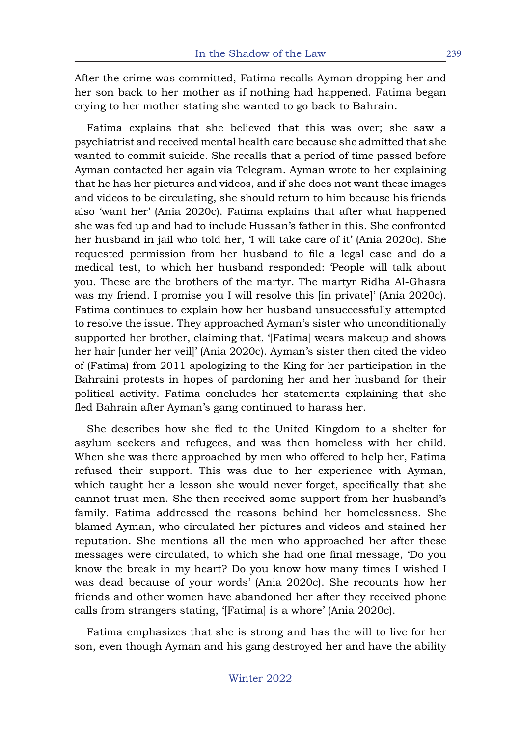After the crime was committed, Fatima recalls Ayman dropping her and her son back to her mother as if nothing had happened. Fatima began crying to her mother stating she wanted to go back to Bahrain.

Fatima explains that she believed that this was over; she saw a psychiatrist and received mental health care because she admitted that she wanted to commit suicide. She recalls that a period of time passed before Ayman contacted her again via Telegram. Ayman wrote to her explaining that he has her pictures and videos, and if she does not want these images and videos to be circulating, she should return to him because his friends also 'want her' (Ania 2020c). Fatima explains that after what happened she was fed up and had to include Hussan's father in this. She confronted her husband in jail who told her, 'I will take care of it' (Ania 2020c). She requested permission from her husband to file a legal case and do a medical test, to which her husband responded: 'People will talk about you. These are the brothers of the martyr. The martyr Ridha Al-Ghasra was my friend. I promise you I will resolve this [in private]' (Ania 2020c). Fatima continues to explain how her husband unsuccessfully attempted to resolve the issue. They approached Ayman's sister who unconditionally supported her brother, claiming that, '[Fatima] wears makeup and shows her hair [under her veil]' (Ania 2020c). Ayman's sister then cited the video of (Fatima) from 2011 apologizing to the King for her participation in the Bahraini protests in hopes of pardoning her and her husband for their political activity. Fatima concludes her statements explaining that she fled Bahrain after Ayman's gang continued to harass her.

She describes how she fled to the United Kingdom to a shelter for asylum seekers and refugees, and was then homeless with her child. When she was there approached by men who offered to help her, Fatima refused their support. This was due to her experience with Ayman, which taught her a lesson she would never forget, specifically that she cannot trust men. She then received some support from her husband's family. Fatima addressed the reasons behind her homelessness. She blamed Ayman, who circulated her pictures and videos and stained her reputation. She mentions all the men who approached her after these messages were circulated, to which she had one final message, 'Do you know the break in my heart? Do you know how many times I wished I was dead because of your words' (Ania 2020c). She recounts how her friends and other women have abandoned her after they received phone calls from strangers stating, '[Fatima] is a whore' (Ania 2020c).

Fatima emphasizes that she is strong and has the will to live for her son, even though Ayman and his gang destroyed her and have the ability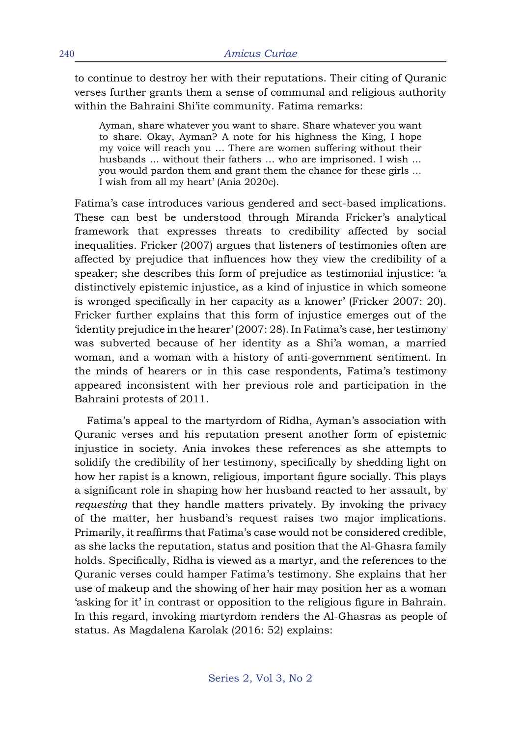to continue to destroy her with their reputations. Their citing of Quranic verses further grants them a sense of communal and religious authority within the Bahraini Shi'ite community. Fatima remarks:

Ayman, share whatever you want to share. Share whatever you want to share. Okay, Ayman? A note for his highness the King, I hope my voice will reach you … There are women suffering without their husbands … without their fathers … who are imprisoned. I wish … you would pardon them and grant them the chance for these girls … I wish from all my heart' (Ania 2020c).

Fatima's case introduces various gendered and sect-based implications. These can best be understood through Miranda Fricker's analytical framework that expresses threats to credibility affected by social inequalities. Fricker (2007) argues that listeners of testimonies often are affected by prejudice that influences how they view the credibility of a speaker; she describes this form of prejudice as testimonial injustice: 'a distinctively epistemic injustice, as a kind of injustice in which someone is wronged specifically in her capacity as a knower' (Fricker 2007: 20). Fricker further explains that this form of injustice emerges out of the 'identity prejudice in the hearer' (2007: 28). In Fatima's case, her testimony was subverted because of her identity as a Shi'a woman, a married woman, and a woman with a history of anti-government sentiment. In the minds of hearers or in this case respondents, Fatima's testimony appeared inconsistent with her previous role and participation in the Bahraini protests of 2011.

Fatima's appeal to the martyrdom of Ridha, Ayman's association with Quranic verses and his reputation present another form of epistemic injustice in society. Ania invokes these references as she attempts to solidify the credibility of her testimony, specifically by shedding light on how her rapist is a known, religious, important figure socially. This plays a significant role in shaping how her husband reacted to her assault, by *requesting* that they handle matters privately. By invoking the privacy of the matter, her husband's request raises two major implications. Primarily, it reaffirms that Fatima's case would not be considered credible, as she lacks the reputation, status and position that the Al-Ghasra family holds. Specifically, Ridha is viewed as a martyr, and the references to the Quranic verses could hamper Fatima's testimony. She explains that her use of makeup and the showing of her hair may position her as a woman 'asking for it' in contrast or opposition to the religious figure in Bahrain. In this regard, invoking martyrdom renders the Al-Ghasras as people of status. As Magdalena Karolak (2016: 52) explains: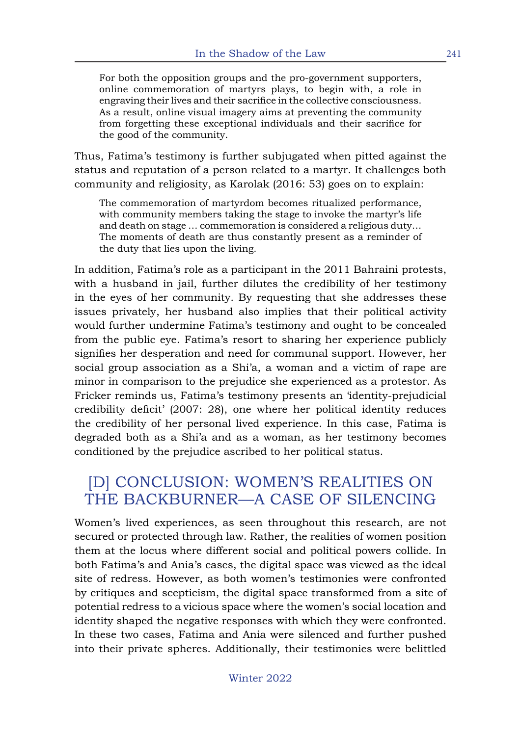For both the opposition groups and the pro-government supporters, online commemoration of martyrs plays, to begin with, a role in engraving their lives and their sacrifice in the collective consciousness. As a result, online visual imagery aims at preventing the community from forgetting these exceptional individuals and their sacrifice for the good of the community.

Thus, Fatima's testimony is further subjugated when pitted against the status and reputation of a person related to a martyr. It challenges both community and religiosity, as Karolak (2016: 53) goes on to explain:

The commemoration of martyrdom becomes ritualized performance, with community members taking the stage to invoke the martyr's life and death on stage … commemoration is considered a religious duty… The moments of death are thus constantly present as a reminder of the duty that lies upon the living.

In addition, Fatima's role as a participant in the 2011 Bahraini protests, with a husband in jail, further dilutes the credibility of her testimony in the eyes of her community. By requesting that she addresses these issues privately, her husband also implies that their political activity would further undermine Fatima's testimony and ought to be concealed from the public eye. Fatima's resort to sharing her experience publicly signifies her desperation and need for communal support. However, her social group association as a Shi'a, a woman and a victim of rape are minor in comparison to the prejudice she experienced as a protestor. As Fricker reminds us, Fatima's testimony presents an 'identity-prejudicial credibility deficit' (2007: 28), one where her political identity reduces the credibility of her personal lived experience. In this case, Fatima is degraded both as a Shi'a and as a woman, as her testimony becomes conditioned by the prejudice ascribed to her political status.

## [D] CONCLUSION: WOMEN'S REALITIES ON THE BACKBURNER—A CASE OF SILENCING

Women's lived experiences, as seen throughout this research, are not secured or protected through law. Rather, the realities of women position them at the locus where different social and political powers collide. In both Fatima's and Ania's cases, the digital space was viewed as the ideal site of redress. However, as both women's testimonies were confronted by critiques and scepticism, the digital space transformed from a site of potential redress to a vicious space where the women's social location and identity shaped the negative responses with which they were confronted. In these two cases, Fatima and Ania were silenced and further pushed into their private spheres. Additionally, their testimonies were belittled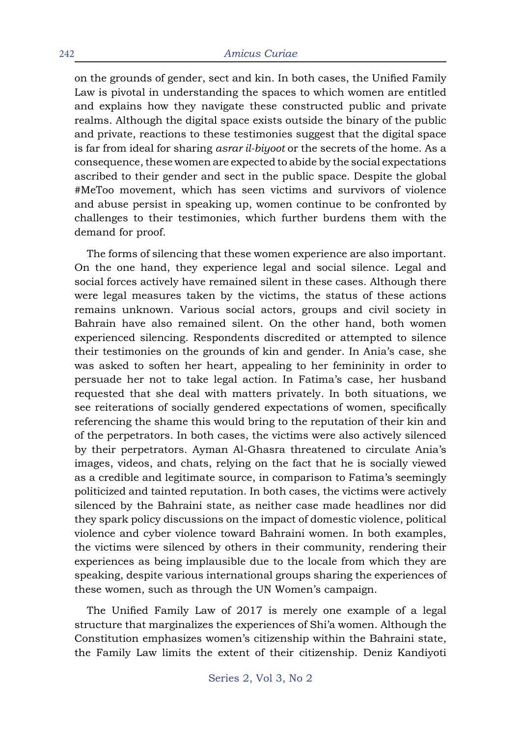on the grounds of gender, sect and kin. In both cases, the Unified Family Law is pivotal in understanding the spaces to which women are entitled and explains how they navigate these constructed public and private realms. Although the digital space exists outside the binary of the public and private, reactions to these testimonies suggest that the digital space is far from ideal for sharing *asrar il-biyoot* or the secrets of the home. As a consequence, these women are expected to abide by the social expectations ascribed to their gender and sect in the public space. Despite the global #MeToo movement, which has seen victims and survivors of violence and abuse persist in speaking up, women continue to be confronted by challenges to their testimonies, which further burdens them with the demand for proof.

The forms of silencing that these women experience are also important. On the one hand, they experience legal and social silence. Legal and social forces actively have remained silent in these cases. Although there were legal measures taken by the victims, the status of these actions remains unknown. Various social actors, groups and civil society in Bahrain have also remained silent. On the other hand, both women experienced silencing. Respondents discredited or attempted to silence their testimonies on the grounds of kin and gender. In Ania's case, she was asked to soften her heart, appealing to her femininity in order to persuade her not to take legal action. In Fatima's case, her husband requested that she deal with matters privately. In both situations, we see reiterations of socially gendered expectations of women, specifically referencing the shame this would bring to the reputation of their kin and of the perpetrators. In both cases, the victims were also actively silenced by their perpetrators. Ayman Al-Ghasra threatened to circulate Ania's images, videos, and chats, relying on the fact that he is socially viewed as a credible and legitimate source, in comparison to Fatima's seemingly politicized and tainted reputation. In both cases, the victims were actively silenced by the Bahraini state, as neither case made headlines nor did they spark policy discussions on the impact of domestic violence, political violence and cyber violence toward Bahraini women. In both examples, the victims were silenced by others in their community, rendering their experiences as being implausible due to the locale from which they are speaking, despite various international groups sharing the experiences of these women, such as through the UN Women's campaign.

The Unified Family Law of 2017 is merely one example of a legal structure that marginalizes the experiences of Shi'a women. Although the Constitution emphasizes women's citizenship within the Bahraini state, the Family Law limits the extent of their citizenship. Deniz Kandiyoti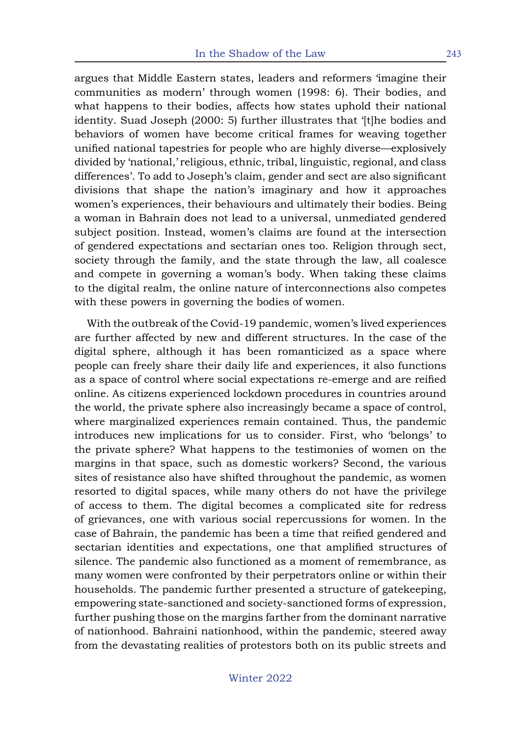argues that Middle Eastern states, leaders and reformers 'imagine their communities as modern' through women (1998: 6). Their bodies, and what happens to their bodies, affects how states uphold their national identity. Suad Joseph (2000: 5) further illustrates that '[t]he bodies and behaviors of women have become critical frames for weaving together unified national tapestries for people who are highly diverse—explosively divided by 'national,' religious, ethnic, tribal, linguistic, regional, and class differences'. To add to Joseph's claim, gender and sect are also significant divisions that shape the nation's imaginary and how it approaches women's experiences, their behaviours and ultimately their bodies. Being a woman in Bahrain does not lead to a universal, unmediated gendered subject position. Instead, women's claims are found at the intersection of gendered expectations and sectarian ones too. Religion through sect, society through the family, and the state through the law, all coalesce and compete in governing a woman's body. When taking these claims to the digital realm, the online nature of interconnections also competes with these powers in governing the bodies of women.

With the outbreak of the Covid-19 pandemic, women's lived experiences are further affected by new and different structures. In the case of the digital sphere, although it has been romanticized as a space where people can freely share their daily life and experiences, it also functions as a space of control where social expectations re-emerge and are reified online. As citizens experienced lockdown procedures in countries around the world, the private sphere also increasingly became a space of control, where marginalized experiences remain contained. Thus, the pandemic introduces new implications for us to consider. First, who 'belongs' to the private sphere? What happens to the testimonies of women on the margins in that space, such as domestic workers? Second, the various sites of resistance also have shifted throughout the pandemic, as women resorted to digital spaces, while many others do not have the privilege of access to them. The digital becomes a complicated site for redress of grievances, one with various social repercussions for women. In the case of Bahrain, the pandemic has been a time that reified gendered and sectarian identities and expectations, one that amplified structures of silence. The pandemic also functioned as a moment of remembrance, as many women were confronted by their perpetrators online or within their households. The pandemic further presented a structure of gatekeeping, empowering state-sanctioned and society-sanctioned forms of expression, further pushing those on the margins farther from the dominant narrative of nationhood. Bahraini nationhood, within the pandemic, steered away from the devastating realities of protestors both on its public streets and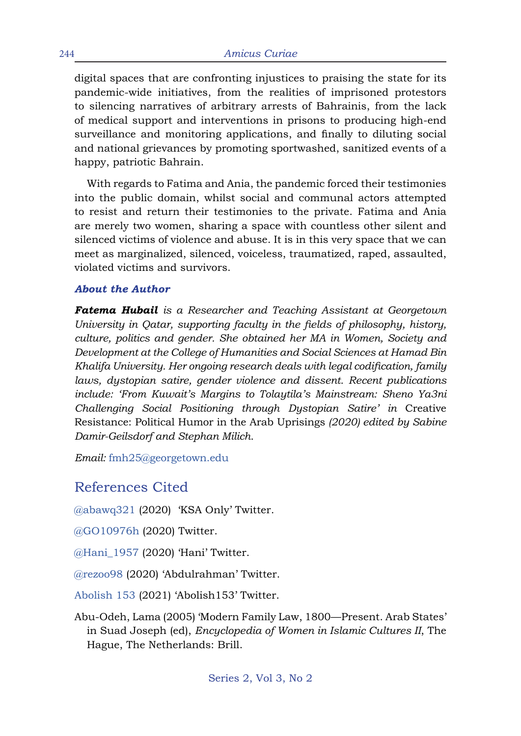digital spaces that are confronting injustices to praising the state for its pandemic-wide initiatives, from the realities of imprisoned protestors to silencing narratives of arbitrary arrests of Bahrainis, from the lack of medical support and interventions in prisons to producing high-end surveillance and monitoring applications, and finally to diluting social and national grievances by promoting sportwashed, sanitized events of a happy, patriotic Bahrain.

With regards to Fatima and Ania, the pandemic forced their testimonies into the public domain, whilst social and communal actors attempted to resist and return their testimonies to the private. Fatima and Ania are merely two women, sharing a space with countless other silent and silenced victims of violence and abuse. It is in this very space that we can meet as marginalized, silenced, voiceless, traumatized, raped, assaulted, violated victims and survivors.

#### *About the Author*

*Fatema Hubail is a Researcher and Teaching Assistant at Georgetown University in Qatar, supporting faculty in the fields of philosophy, history, culture, politics and gender. She obtained her MA in Women, Society and Development at the College of Humanities and Social Sciences at Hamad Bin Khalifa University. Her ongoing research deals with legal codification, family laws, dystopian satire, gender violence and dissent. Recent publications include: 'From Kuwait's Margins to Tolaytila's Mainstream: Sheno Ya3ni Challenging Social Positioning through Dystopian Satire' in* Creative Resistance: Political Humor in the Arab Uprisings *(2020) edited by Sabine Damir-Geilsdorf and Stephan Milich.* 

*Email:* fmh25@georgetown.edu

### References Cited

@abawq321 (2020) 'KSA Only' Twitter.

@GO10976h (2020) Twitter.

@Hani\_1957 (2020) 'Hani' Twitter.

@rezoo98 (2020) 'Abdulrahman' Twitter.

Abolish 153 (2021) 'Abolish153' Twitter.

Abu-Odeh, Lama (2005) 'Modern Family Law, 1800—Present. Arab States' in Suad Joseph (ed), *Encyclopedia of Women in Islamic Cultures II*, The Hague, The Netherlands: Brill.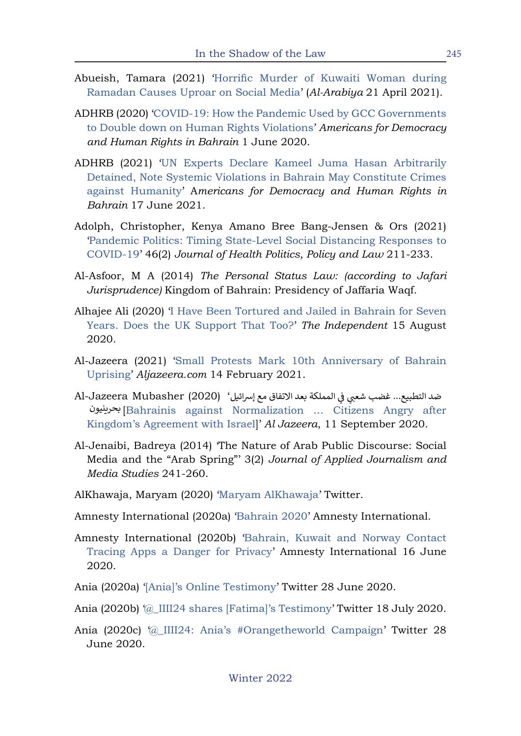- Abueish, Tamara (2021) 'Horrific Murder of Kuwaiti Woman during Ramadan Causes Uproar on Social Media' (*Al-Arabiya* 21 April 2021).
- ADHRB (2020) 'COVID-19: How the Pandemic Used by GCC Governments to Double down on Human Rights Violations' *Americans for Democracy and Human Rights in Bahrain* 1 June 2020.
- ADHRB (2021) 'UN Experts Declare Kameel Juma Hasan Arbitrarily Detained, Note Systemic Violations in Bahrain May Constitute Crimes against Humanity' A*mericans for Democracy and Human Rights in Bahrain* 17 June 2021.
- Adolph, Christopher, Kenya Amano Bree Bang-Jensen & Ors (2021) 'Pandemic Politics: Timing State-Level Social Distancing Responses to COVID-19' 46(2) *Journal of Health Politics, Policy and Law* 211-233.
- Al-Asfoor, M A (2014) *The Personal Status Law: (according to Jafari Jurisprudence)* Kingdom of Bahrain: Presidency of Jaffaria Waqf.
- Alhajee Ali (2020) 'I Have Been Tortured and Jailed in Bahrain for Seven Years. Does the UK Support That Too?' *The Independent* 15 August 2020.
- Al-Jazeera (2021) 'Small Protests Mark 10th Anniversary of Bahrain Uprising' *Aljazeera.com* 14 February 2021.
- ضد التطبيع... غضب شعبي في المملكة بعد الاتفاق مع إسرائيل' (Al-Jazeera Mubasher (2020 mmmll[Bahrainis against Normalization … Citizens Angry after بح��نيونKingdom's Agreement with Israel]' *Al Jazeera*, 11 September 2020. ض
- Al-Jenaibi, Badreya (2014) 'The Nature of Arab Public Discourse: Social Media and the "Arab Spring"' 3(2) *Journal of Applied Journalism and Media Studies* 241-260.
- AlKhawaja, Maryam (2020) 'Maryam AlKhawaja' Twitter.
- Amnesty International (2020a) 'Bahrain 2020' Amnesty International.
- Amnesty International (2020b) 'Bahrain, Kuwait and Norway Contact Tracing Apps a Danger for Privacy' Amnesty International 16 June 2020.
- Ania (2020a) '[Ania]'s Online Testimony' Twitter 28 June 2020.
- Ania (2020b) '@\_IIII24 shares [Fatima]'s Testimony' Twitter 18 July 2020.
- Ania (2020c) '@\_IIII24: Ania's #Orangetheworld Campaign' Twitter 28 June 2020.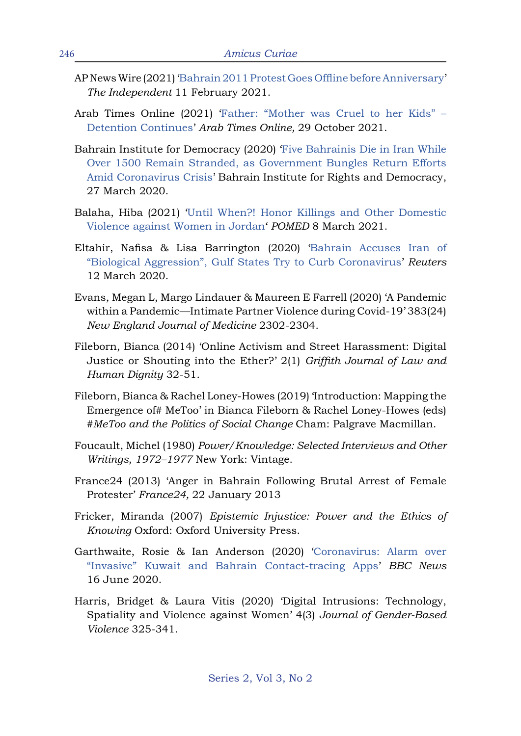- AP News Wire (2021) 'Bahrain 2011 Protest Goes Offline before Anniversary' *The Independent* 11 February 2021.
- Arab Times Online (2021) 'Father: "Mother was Cruel to her Kids" Detention Continues' *Arab Times Online,* 29 October 2021.
- Bahrain Institute for Democracy (2020) 'Five Bahrainis Die in Iran While Over 1500 Remain Stranded, as Government Bungles Return Efforts Amid Coronavirus Crisis' Bahrain Institute for Rights and Democracy, 27 March 2020.
- Balaha, Hiba (2021) 'Until When?! Honor Killings and Other Domestic Violence against Women in Jordan' *POMED* 8 March 2021.
- Eltahir, Nafisa & Lisa Barrington (2020) 'Bahrain Accuses Iran of "Biological Aggression", Gulf States Try to Curb Coronavirus' *Reuters*  12 March 2020.
- Evans, Megan L, Margo Lindauer & Maureen E Farrell (2020) 'A Pandemic within a Pandemic—Intimate Partner Violence during Covid-19' 383(24) *New England Journal of Medicine* 2302-2304.
- Fileborn, Bianca (2014) 'Online Activism and Street Harassment: Digital Justice or Shouting into the Ether?' 2(1) *Griffith Journal of Law and Human Dignity* 32-51.
- Fileborn, Bianca & Rachel Loney-Howes (2019) 'Introduction: Mapping the Emergence of# MeToo' in Bianca Fileborn & Rachel Loney-Howes (eds) *#MeToo and the Politics of Social Change* Cham: Palgrave Macmillan.
- Foucault, Michel (1980) *Power/Knowledge: Selected Interviews and Other Writings, 1972–1977* New York: Vintage.
- France24 (2013) 'Anger in Bahrain Following Brutal Arrest of Female Protester' *France24,* 22 January 2013
- Fricker, Miranda (2007) *Epistemic Injustice: Power and the Ethics of Knowing* Oxford: Oxford University Press.
- Garthwaite, Rosie & Ian Anderson (2020) 'Coronavirus: Alarm over "Invasive" Kuwait and Bahrain Contact-tracing Apps' *BBC News*  16 June 2020.
- Harris, Bridget & Laura Vitis (2020) 'Digital Intrusions: Technology, Spatiality and Violence against Women' 4(3) *Journal of Gender-Based Violence* 325-341.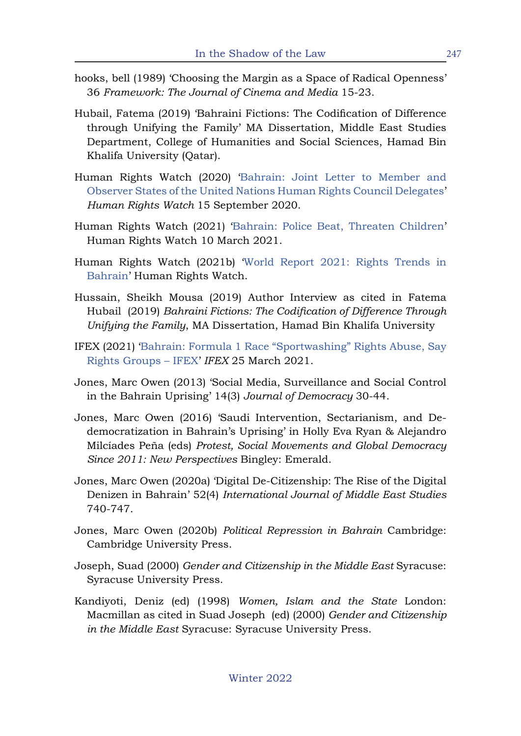- hooks, bell (1989) 'Choosing the Margin as a Space of Radical Openness' 36 *Framework: The Journal of Cinema and Media* 15-23.
- Hubail, Fatema (2019) 'Bahraini Fictions: The Codification of Difference through Unifying the Family' MA Dissertation, Middle East Studies Department, College of Humanities and Social Sciences, Hamad Bin Khalifa University (Qatar).
- Human Rights Watch (2020) 'Bahrain: Joint Letter to Member and Observer States of the United Nations Human Rights Council Delegates' *Human Rights Watch* 15 September 2020.
- Human Rights Watch (2021) 'Bahrain: Police Beat, Threaten Children' Human Rights Watch 10 March 2021.
- Human Rights Watch (2021b) 'World Report 2021: Rights Trends in Bahrain' Human Rights Watch.
- Hussain, Sheikh Mousa (2019) Author Interview as cited in Fatema Hubail (2019) *Bahraini Fictions: The Codification of Difference Through Unifying the Family*, MA Dissertation, Hamad Bin Khalifa University
- IFEX (2021) 'Bahrain: Formula 1 Race "Sportwashing" Rights Abuse, Say Rights Groups – IFEX' *IFEX* 25 March 2021.
- Jones, Marc Owen (2013) 'Social Media, Surveillance and Social Control in the Bahrain Uprising' 14(3) *Journal of Democracy* 30-44.
- Jones, Marc Owen (2016) 'Saudi Intervention, Sectarianism, and Dedemocratization in Bahrain's Uprising' in Holly Eva Ryan & Alejandro Milcíades Peña (eds) *Protest, Social Movements and Global Democracy Since 2011: New Perspectives* Bingley: Emerald.
- Jones, Marc Owen (2020a) 'Digital De-Citizenship: The Rise of the Digital Denizen in Bahrain' 52(4) *International Journal of Middle East Studies*  740-747.
- Jones, Marc Owen (2020b) *Political Repression in Bahrain* Cambridge: Cambridge University Press.
- Joseph, Suad (2000) *Gender and Citizenship in the Middle East* Syracuse: Syracuse University Press.
- Kandiyoti, Deniz (ed) (1998) *Women, Islam and the State* London: Macmillan as cited in Suad Joseph (ed) (2000) *Gender and Citizenship in the Middle East* Syracuse: Syracuse University Press.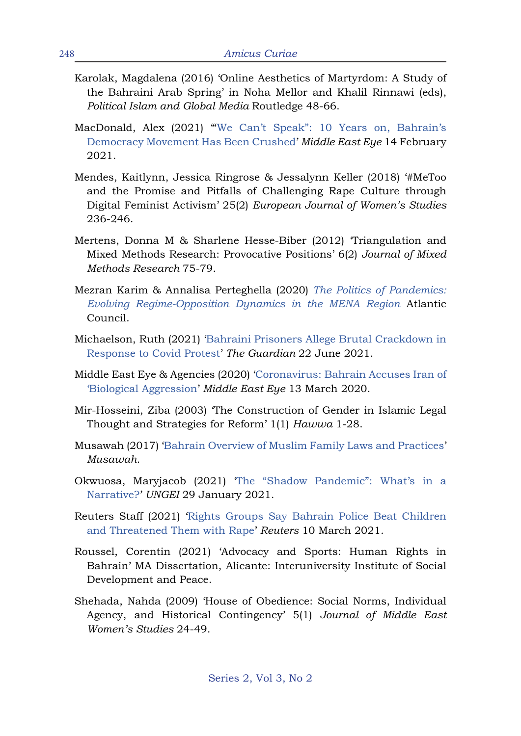- Karolak, Magdalena (2016) 'Online Aesthetics of Martyrdom: A Study of the Bahraini Arab Spring' in Noha Mellor and Khalil Rinnawi (eds), *Political Islam and Global Media* Routledge 48-66.
- MacDonald, Alex (2021) "We Can't Speak": 10 Years on, Bahrain's Democracy Movement Has Been Crushed' *Middle East Eye* 14 February 2021.
- Mendes, Kaitlynn, Jessica Ringrose & Jessalynn Keller (2018) '#MeToo and the Promise and Pitfalls of Challenging Rape Culture through Digital Feminist Activism' 25(2) *European Journal of Women's Studies*  236-246.
- Mertens, Donna M & Sharlene Hesse-Biber (2012) 'Triangulation and Mixed Methods Research: Provocative Positions' 6(2) *Journal of Mixed Methods Research* 75-79.
- Mezran Karim & Annalisa Perteghella (2020) *The Politics of Pandemics: Evolving Regime-Opposition Dynamics in the MENA Region* Atlantic Council.
- Michaelson, Ruth (2021) 'Bahraini Prisoners Allege Brutal Crackdown in Response to Covid Protest' *The Guardian* 22 June 2021.
- Middle East Eye & Agencies (2020) 'Coronavirus: Bahrain Accuses Iran of 'Biological Aggression' *Middle East Eye* 13 March 2020.
- Mir-Hosseini, Ziba (2003) 'The Construction of Gender in Islamic Legal Thought and Strategies for Reform' 1(1) *Hawwa* 1-28.
- Musawah (2017) 'Bahrain Overview of Muslim Family Laws and Practices' *Musawah*.
- Okwuosa, Maryjacob (2021) 'The "Shadow Pandemic": What's in a Narrative?' *UNGEI* 29 January 2021.
- Reuters Staff (2021) 'Rights Groups Say Bahrain Police Beat Children and Threatened Them with Rape' *Reuters* 10 March 2021.
- Roussel, Corentin (2021) 'Advocacy and Sports: Human Rights in Bahrain' MA Dissertation, Alicante: Interuniversity Institute of Social Development and Peace.
- Shehada, Nahda (2009) 'House of Obedience: Social Norms, Individual Agency, and Historical Contingency' 5(1) *Journal of Middle East Women's Studies* 24-49.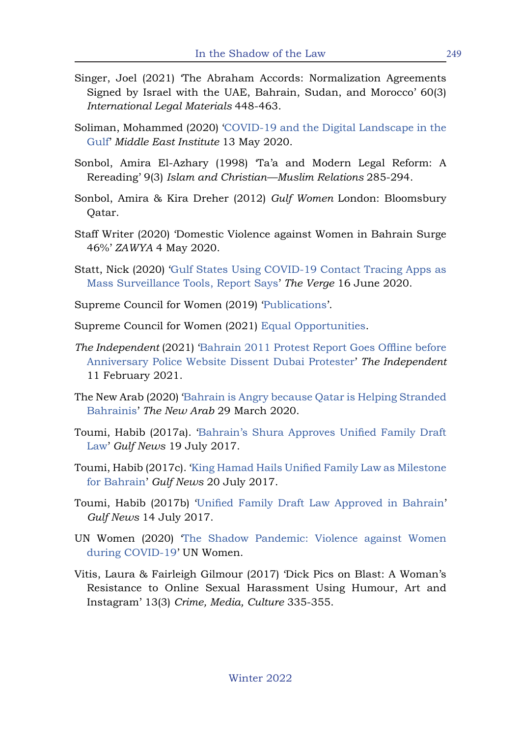- Singer, Joel (2021) 'The Abraham Accords: Normalization Agreements Signed by Israel with the UAE, Bahrain, Sudan, and Morocco' 60(3) *International Legal Materials* 448-463.
- Soliman, Mohammed (2020) 'COVID-19 and the Digital Landscape in the Gulf' *Middle East Institute* 13 May 2020.
- Sonbol, Amira El-Azhary (1998) 'Ta'a and Modern Legal Reform: A Rereading' 9(3) *Islam and Christian—Muslim Relations* 285-294.
- Sonbol, Amira & Kira Dreher (2012) *Gulf Women* London: Bloomsbury Qatar.
- Staff Writer (2020) 'Domestic Violence against Women in Bahrain Surge 46%' *ZAWYA* 4 May 2020.
- Statt, Nick (2020) 'Gulf States Using COVID-19 Contact Tracing Apps as Mass Surveillance Tools, Report Says' *The Verge* 16 June 2020.
- Supreme Council for Women (2019) 'Publications'.
- Supreme Council for Women (2021) Equal Opportunities.
- *The Independent* (2021) 'Bahrain 2011 Protest Report Goes Offline before Anniversary Police Website Dissent Dubai Protester' *The Independent*  11 February 2021.
- The New Arab (2020) 'Bahrain is Angry because Qatar is Helping Stranded Bahrainis' *The New Arab* 29 March 2020.
- Toumi, Habib (2017a). 'Bahrain's Shura Approves Unified Family Draft Law' *Gulf News* 19 July 2017.
- Toumi, Habib (2017c). 'King Hamad Hails Unified Family Law as Milestone for Bahrain' *Gulf News* 20 July 2017.
- Toumi, Habib (2017b) 'Unified Family Draft Law Approved in Bahrain' *Gulf News* 14 July 2017.
- UN Women (2020) 'The Shadow Pandemic: Violence against Women during COVID-19' UN Women.
- Vitis, Laura & Fairleigh Gilmour (2017) 'Dick Pics on Blast: A Woman's Resistance to Online Sexual Harassment Using Humour, Art and Instagram' 13(3) *Crime, Media, Culture* 335-355.